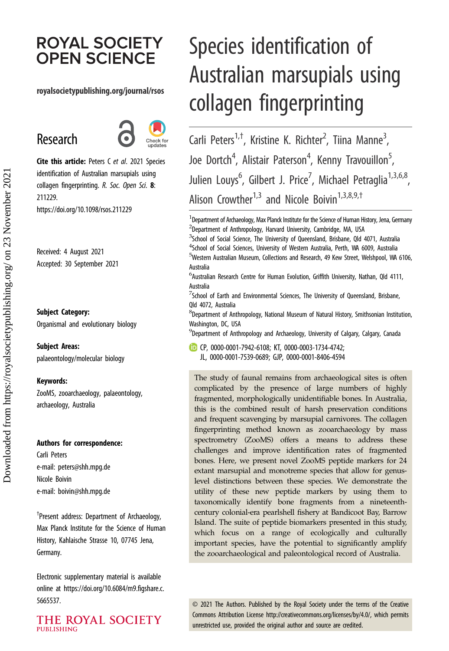# **ROYAL SOCIETY OPEN SCIENCE**

#### royalsocietypublishing.org/journal/rsos

## Research



Cite this article: Peters C et al. 2021 Species identification of Australian marsupials using collagen fingerprinting. R. Soc. Open Sci. 8: 211229. https://doi.org/10.1098/rsos.211229

Received: 4 August 2021 Accepted: 30 September 2021

#### Subject Category:

Organismal and evolutionary biology

Subject Areas: palaeontology/molecular biology

#### Keywords:

ZooMS, zooarchaeology, palaeontology, archaeology, Australia

#### Authors for correspondence:

Carli Peters e-mail: [peters@shh.mpg.de](mailto:peters@shh.mpg.de) Nicole Boivin e-mail: [boivin@shh.mpg.de](mailto:boivin@shh.mpg.de)

† Present address: Department of Archaeology, Max Planck Institute for the Science of Human History, Kahlaische Strasse 10, 07745 Jena, Germany.

Electronic supplementary material is available online at [https://doi.org/10.6084/m9.figshare.c.](https://doi.org/10.6084/m9.figshare.c.5665537) [5665537.](https://doi.org/10.6084/m9.figshare.c.5665537)

THE ROYAL SOCIETY **PUBLISHING** 

# Species identification of Australian marsupials using collagen fingerprinting

Carli Peters<sup>1,†</sup>, Kristine K. Richter<sup>2</sup>, Tiina Manne<sup>3</sup> , Joe Dortch<sup>4</sup>, Alistair Paterson<sup>4</sup>, Kenny Travouillon<sup>5</sup> , Julien Louys<sup>6</sup>, Gilbert J. Price<sup>7</sup>, Michael Petraglia<sup>1,3,6,8</sup>, Alison Crowther<sup>1,3</sup> and Nicole Boivin<sup>1,3,8,9,t</sup>

 $^{\text{1}}$ Department of Archaeology, Max Planck Institute for the Science of Human History, Jena, Germany  $^{2}$ Department of Anthropology, Harvard University, Cambridge, MA, USA

 $3$ School of Social Science, The University of Queensland, Brisbane, Qld 4071, Australia

<sup>4</sup>School of Social Sciences, University of Western Australia, Perth, WA 6009, Australia

<sup>5</sup>Western Australian Museum, Collections and Research, 49 Kew Street, Welshpool, WA 6106, Australia

<sup>6</sup> Australian Research Centre for Human Evolution, Griffith University, Nathan, Qld 4111, Australia

 $^7$ School of Earth and Environmental Sciences, The University of Queensland, Brisbane, Qld 4072, Australia

 ${}^{8}$ Department of Anthropology, National Museum of Natural History, Smithsonian Institution, Washington, DC, USA

 $^{9}$ Department of Anthropology and Archaeology, University of Calgary, Calgary, Canada

CP, [0000-0001-7942-6108](http://orcid.org/0000-0001-7942-6108); KT, [0000-0003-1734-4742;](http://orcid.org/0000-0003-1734-4742) JL, [0000-0001-7539-0689](http://orcid.org/0000-0001-7539-0689); GJP, [0000-0001-8406-4594](http://orcid.org/0000-0001-8406-4594)

The study of faunal remains from archaeological sites is often complicated by the presence of large numbers of highly fragmented, morphologically unidentifiable bones. In Australia, this is the combined result of harsh preservation conditions and frequent scavenging by marsupial carnivores. The collagen fingerprinting method known as zooarchaeology by mass spectrometry (ZooMS) offers a means to address these challenges and improve identification rates of fragmented bones. Here, we present novel ZooMS peptide markers for 24 extant marsupial and monotreme species that allow for genuslevel distinctions between these species. We demonstrate the utility of these new peptide markers by using them to taxonomically identify bone fragments from a nineteenthcentury colonial-era pearlshell fishery at Bandicoot Bay, Barrow Island. The suite of peptide biomarkers presented in this study, which focus on a range of ecologically and culturally important species, have the potential to significantly amplify the zooarchaeological and paleontological record of Australia.

© 2021 The Authors. Published by the Royal Society under the terms of the Creative Commons Attribution License<http://creativecommons.org/licenses/by/4.0/>, which permits unrestricted use, provided the original author and source are credited.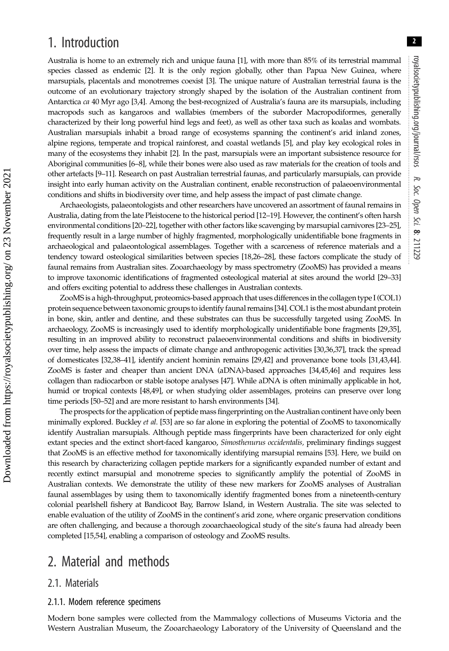## 1. Introduction

Australia is home to an extremely rich and unique fauna [\[1](#page-14-0)], with more than 85% of its terrestrial mammal species classed as endemic [\[2\]](#page-14-0). It is the only region globally, other than Papua New Guinea, where marsupials, placentals and monotremes coexist [[3\]](#page-14-0). The unique nature of Australian terrestrial fauna is the outcome of an evolutionary trajectory strongly shaped by the isolation of the Australian continent from Antarctica ca 40 Myr ago [\[3,4](#page-14-0)]. Among the best-recognized of Australia's fauna are its marsupials, including macropods such as kangaroos and wallabies (members of the suborder Macropodiformes, generally characterized by their long powerful hind legs and feet), as well as other taxa such as koalas and wombats. Australian marsupials inhabit a broad range of ecosystems spanning the continent's arid inland zones, alpine regions, temperate and tropical rainforest, and coastal wetlands [\[5](#page-14-0)], and play key ecological roles in many of the ecosystems they inhabit [[2\]](#page-14-0). In the past, marsupials were an important subsistence resource for Aboriginal communities [[6](#page-14-0)–[8\]](#page-15-0), while their bones were also used as raw materials for the creation of tools and other artefacts [[9](#page-15-0)–[11\]](#page-15-0). Research on past Australian terrestrial faunas, and particularly marsupials, can provide insight into early human activity on the Australian continent, enable reconstruction of palaeoenvironmental conditions and shifts in biodiversity over time, and help assess the impact of past climate change.

Archaeologists, palaeontologists and other researchers have uncovered an assortment of faunal remains in Australia, dating from the late Pleistocene to the historical period [\[12](#page-15-0)–[19\]](#page-15-0). However, the continent's often harsh environmental conditions [[20](#page-15-0)–[22](#page-15-0)], together with other factors like scavenging by marsupial carnivores [\[23](#page-15-0)–[25\]](#page-15-0), frequently result in a large number of highly fragmented, morphologically unidentifiable bone fragments in archaeological and palaeontological assemblages. Together with a scarceness of reference materials and a tendency toward osteological similarities between species [[18,26](#page-15-0)–[28](#page-15-0)], these factors complicate the study of faunal remains from Australian sites. Zooarchaeology by mass spectrometry (ZooMS) has provided a means to improve taxonomic identifications of fragmented osteological material at sites around the world [\[29](#page-15-0)–[33\]](#page-15-0) and offers exciting potential to address these challenges in Australian contexts.

ZooMS is a high-throughput, proteomics-based approach that uses differences in the collagen type I (COL1) protein sequence between taxonomic groups to identify faunal remains [[34](#page-15-0)]. COL1 is the most abundant protein in bone, skin, antler and dentine, and these substrates can thus be successfully targeted using ZooMS. In archaeology, ZooMS is increasingly used to identify morphologically unidentifiable bone fragments [\[29,35](#page-15-0)], resulting in an improved ability to reconstruct palaeoenvironmental conditions and shifts in biodiversity over time, help assess the impacts of climate change and anthropogenic activities [\[30,36,37](#page-15-0)], track the spread of domesticates [[32,38](#page-15-0)–[41\]](#page-15-0), identify ancient hominin remains [\[29,42\]](#page-15-0) and provenance bone tools [\[31,43,44](#page-15-0)]. ZooMS is faster and cheaper than ancient DNA (aDNA)-based approaches [\[34](#page-15-0)[,45,46](#page-16-0)] and requires less collagen than radiocarbon or stable isotope analyses [[47](#page-16-0)]. While aDNA is often minimally applicable in hot, humid or tropical contexts [\[48,49\]](#page-16-0), or when studying older assemblages, proteins can preserve over long time periods [\[50](#page-16-0)–[52\]](#page-16-0) and are more resistant to harsh environments [\[34](#page-15-0)].

The prospects for the application of peptide mass fingerprinting on the Australian continent have only been minimally explored. Buckley et al. [[53](#page-16-0)] are so far alone in exploring the potential of ZooMS to taxonomically identify Australian marsupials. Although peptide mass fingerprints have been characterized for only eight extant species and the extinct short-faced kangaroo, Simosthenurus occidentalis, preliminary findings suggest that ZooMS is an effective method for taxonomically identifying marsupial remains [[53](#page-16-0)]. Here, we build on this research by characterizing collagen peptide markers for a significantly expanded number of extant and recently extinct marsupial and monotreme species to significantly amplify the potential of ZooMS in Australian contexts. We demonstrate the utility of these new markers for ZooMS analyses of Australian faunal assemblages by using them to taxonomically identify fragmented bones from a nineteenth-century colonial pearlshell fishery at Bandicoot Bay, Barrow Island, in Western Australia. The site was selected to enable evaluation of the utility of ZooMS in the continent's arid zone, where organic preservation conditions are often challenging, and because a thorough zooarchaeological study of the site's fauna had already been completed [\[15](#page-15-0)[,54\]](#page-16-0), enabling a comparison of osteology and ZooMS results.

## 2. Material and methods

#### 2.1. Materials

#### 2.1.1. Modern reference specimens

Modern bone samples were collected from the Mammalogy collections of Museums Victoria and the Western Australian Museum, the Zooarchaeology Laboratory of the University of Queensland and the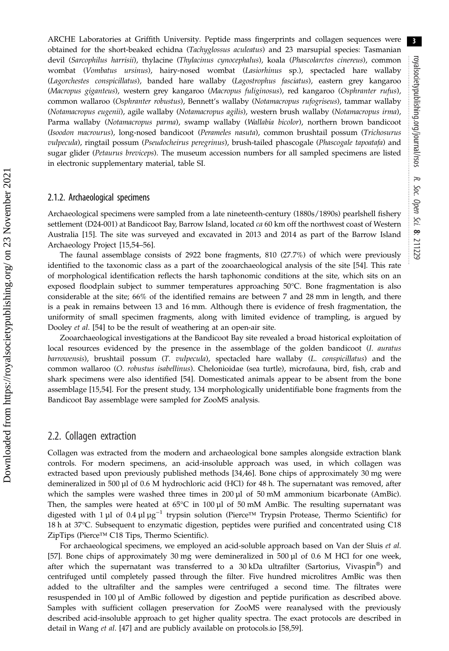ARCHE Laboratories at Griffith University. Peptide mass fingerprints and collagen sequences were obtained for the short-beaked echidna (Tachyglossus aculeatus) and 23 marsupial species: Tasmanian devil (Sarcophilus harrisii), thylacine (Thylacinus cynocephalus), koala (Phascolarctos cinereus), common wombat (Vombatus ursinus), hairy-nosed wombat (Lasiorhinus sp.), spectacled hare wallaby (Lagorchestes conspicillatus), banded hare wallaby (Lagostrophus fasciatus), eastern grey kangaroo (Macropus giganteus), western grey kangaroo (Macropus fuliginosus), red kangaroo (Osphranter rufus), common wallaroo (Osphranter robustus), Bennett's wallaby (Notamacropus rufogriseus), tammar wallaby (Notamacropus eugenii), agile wallaby (Notamacropus agilis), western brush wallaby (Notamacropus irma), Parma wallaby (Notamacropus parma), swamp wallaby (Wallabia bicolor), northern brown bandicoot (Isoodon macrourus), long-nosed bandicoot (Perameles nasuta), common brushtail possum (Trichosurus vulpecula), ringtail possum (Pseudocheirus peregrinus), brush-tailed phascogale (Phascogale tapoatafa) and sugar glider (Petaurus breviceps). The museum accession numbers for all sampled specimens are listed in electronic supplementary material, table SI.

#### 2.1.2. Archaeological specimens

Archaeological specimens were sampled from a late nineteenth-century (1880s/1890s) pearlshell fishery settlement (D24-001) at Bandicoot Bay, Barrow Island, located ca 60 km off the northwest coast of Western Australia [\[15](#page-15-0)]. The site was surveyed and excavated in 2013 and 2014 as part of the Barrow Island Archaeology Project [[15,](#page-15-0)[54](#page-16-0)–[56](#page-16-0)].

The faunal assemblage consists of 2922 bone fragments, 810 (27.7%) of which were previously identified to the taxonomic class as a part of the zooarchaeological analysis of the site [[54\]](#page-16-0). This rate of morphological identification reflects the harsh taphonomic conditions at the site, which sits on an exposed floodplain subject to summer temperatures approaching 50°C. Bone fragmentation is also considerable at the site; 66% of the identified remains are between 7 and 28 mm in length, and there is a peak in remains between 13 and 16 mm. Although there is evidence of fresh fragmentation, the uniformity of small specimen fragments, along with limited evidence of trampling, is argued by Dooley et al. [\[54](#page-16-0)] to be the result of weathering at an open-air site.

Zooarchaeological investigations at the Bandicoot Bay site revealed a broad historical exploitation of local resources evidenced by the presence in the assemblage of the golden bandicoot (I. auratus barrowensis), brushtail possum (T. vulpecula), spectacled hare wallaby (L. conspicillatus) and the common wallaroo (O. robustus isabellinus). Chelonioidae (sea turtle), microfauna, bird, fish, crab and shark specimens were also identified [[54\]](#page-16-0). Domesticated animals appear to be absent from the bone assemblage [[15,](#page-15-0)[54\]](#page-16-0). For the present study, 134 morphologically unidentifiable bone fragments from the Bandicoot Bay assemblage were sampled for ZooMS analysis.

#### 2.2. Collagen extraction

Collagen was extracted from the modern and archaeological bone samples alongside extraction blank controls. For modern specimens, an acid-insoluble approach was used, in which collagen was extracted based upon previously published methods [[34,](#page-15-0)[46](#page-16-0)]. Bone chips of approximately 30 mg were demineralized in 500 µl of 0.6 M hydrochloric acid (HCl) for 48 h. The supernatant was removed, after which the samples were washed three times in 200 µl of 50 mM ammonium bicarbonate (AmBic). Then, the samples were heated at  $65^{\circ}$ C in 100 µl of 50 mM AmBic. The resulting supernatant was digested with 1 µl of 0.4 µl µg−<sup>1</sup> trypsin solution (Pierce™ Trypsin Protease, Thermo Scientific) for 18 h at 37°C. Subsequent to enzymatic digestion, peptides were purified and concentrated using C18 ZipTips (Pierce™ C18 Tips, Thermo Scientific).

For archaeological specimens, we employed an acid-soluble approach based on Van der Sluis et al. [\[57](#page-16-0)]. Bone chips of approximately 30 mg were demineralized in 500 µl of 0.6 M HCl for one week, after which the supernatant was transferred to a  $30 \text{ kDa}$  ultrafilter (Sartorius, Vivaspin<sup>®</sup>) and centrifuged until completely passed through the filter. Five hundred microlitres AmBic was then added to the ultrafilter and the samples were centrifuged a second time. The filtrates were resuspended in 100 µl of AmBic followed by digestion and peptide purification as described above. Samples with sufficient collagen preservation for ZooMS were reanalysed with the previously described acid-insoluble approach to get higher quality spectra. The exact protocols are described in detail in Wang et al. [\[47](#page-16-0)] and are publicly available on protocols.io [\[58](#page-16-0),[59\]](#page-16-0).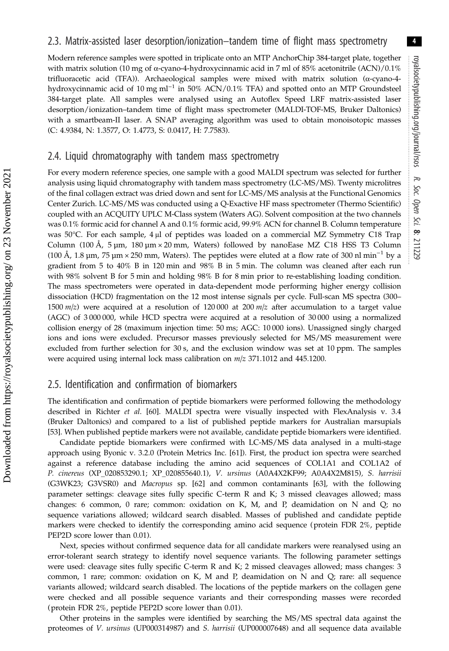#### 2.3. Matrix-assisted laser desorption/ionization–tandem time of flight mass spectrometry

Modern reference samples were spotted in triplicate onto an MTP AnchorChip 384-target plate, together with matrix solution (10 mg of  $\alpha$ -cyano-4-hydroxycinnamic acid in 7 ml of 85% acetonitrile (ACN)/0.1% trifluoracetic acid (TFA)). Archaeological samples were mixed with matrix solution (α-cyano-4 hydroxycinnamic acid of 10 mg ml<sup>-1</sup> in 50% ACN/0.1% TFA) and spotted onto an MTP Groundsteel 384-target plate. All samples were analysed using an Autoflex Speed LRF matrix-assisted laser desorption/ionization–tandem time of flight mass spectrometer (MALDI-TOF-MS, Bruker Daltonics) with a smartbeam-II laser. A SNAP averaging algorithm was used to obtain monoisotopic masses (C: 4.9384, N: 1.3577, O: 1.4773, S: 0.0417, H: 7.7583).

#### 2.4. Liquid chromatography with tandem mass spectrometry

For every modern reference species, one sample with a good MALDI spectrum was selected for further analysis using liquid chromatography with tandem mass spectrometry (LC-MS/MS). Twenty microlitres of the final collagen extract was dried down and sent for LC-MS/MS analysis at the Functional Genomics Center Zurich. LC-MS/MS was conducted using a Q-Exactive HF mass spectrometer (Thermo Scientific) coupled with an ACQUITY UPLC M-Class system (Waters AG). Solvent composition at the two channels was 0.1% formic acid for channel A and 0.1% formic acid, 99.9% ACN for channel B. Column temperature was 50°C. For each sample, 4 μl of peptides was loaded on a commercial MZ Symmetry C18 Trap Column (100  $\AA$ , 5 µm, 180 µm  $\times$  20 mm, Waters) followed by nanoEase MZ C18 HSS T3 Column (100 Å, 1.8 µm, 75 µm × 250 mm, Waters). The peptides were eluted at a flow rate of 300 nl min<sup>-1</sup> by a gradient from 5 to 40% B in 120 min and 98% B in 5 min. The column was cleaned after each run with 98% solvent B for 5 min and holding 98% B for 8 min prior to re-establishing loading condition. The mass spectrometers were operated in data-dependent mode performing higher energy collision dissociation (HCD) fragmentation on the 12 most intense signals per cycle. Full-scan MS spectra (300– 1500  $m/z$ ) were acquired at a resolution of 120 000 at 200  $m/z$  after accumulation to a target value (AGC) of 3 000 000, while HCD spectra were acquired at a resolution of 30 000 using a normalized collision energy of 28 (maximum injection time: 50 ms; AGC: 10 000 ions). Unassigned singly charged ions and ions were excluded. Precursor masses previously selected for MS/MS measurement were excluded from further selection for 30 s, and the exclusion window was set at 10 ppm. The samples were acquired using internal lock mass calibration on  $m/z$  371.1012 and 445.1200.

#### 2.5. Identification and confirmation of biomarkers

The identification and confirmation of peptide biomarkers were performed following the methodology described in Richter et al. [[60\]](#page-16-0). MALDI spectra were visually inspected with FlexAnalysis v. 3.4 (Bruker Daltonics) and compared to a list of published peptide markers for Australian marsupials [\[53](#page-16-0)]. When published peptide markers were not available, candidate peptide biomarkers were identified.

Candidate peptide biomarkers were confirmed with LC-MS/MS data analysed in a multi-stage approach using Byonic v. 3.2.0 (Protein Metrics Inc. [[61\]](#page-16-0)). First, the product ion spectra were searched against a reference database including the amino acid sequences of COL1A1 and COL1A2 of P. cinereus (XP\_020853290.1; XP\_020855640.1), V. ursinus (A0A4X2KF99; A0A4X2M815), S. harrisii (G3WK23; G3VSR0) and Macropus sp. [\[62](#page-16-0)] and common contaminants [\[63](#page-16-0)], with the following parameter settings: cleavage sites fully specific C-term R and K; 3 missed cleavages allowed; mass changes: 6 common, 0 rare; common: oxidation on K, M, and P, deamidation on N and Q; no sequence variations allowed; wildcard search disabled. Masses of published and candidate peptide markers were checked to identify the corresponding amino acid sequence (protein FDR 2%, peptide PEP2D score lower than 0.01).

Next, species without confirmed sequence data for all candidate markers were reanalysed using an error-tolerant search strategy to identify novel sequence variants. The following parameter settings were used: cleavage sites fully specific C-term R and K; 2 missed cleavages allowed; mass changes: 3 common, 1 rare; common: oxidation on K, M and P, deamidation on N and  $Q$ ; rare: all sequence variants allowed; wildcard search disabled. The locations of the peptide markers on the collagen gene were checked and all possible sequence variants and their corresponding masses were recorded (protein FDR 2%, peptide PEP2D score lower than 0.01).

Other proteins in the samples were identified by searching the MS/MS spectral data against the proteomes of V. ursinus (UP000314987) and S. harrisii (UP000007648) and all sequence data available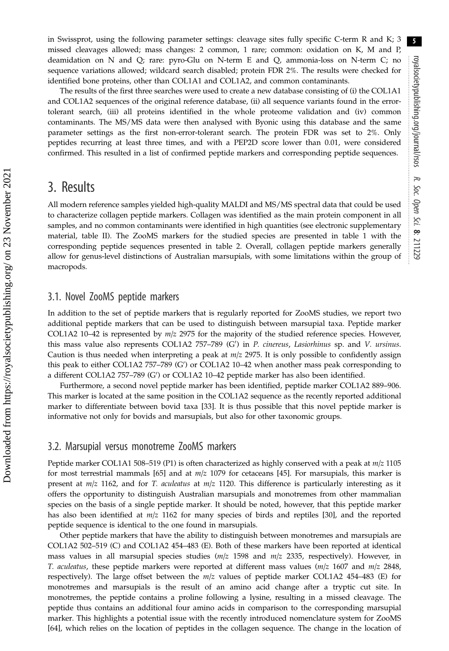in Swissprot, using the following parameter settings: cleavage sites fully specific C-term R and K; 3 missed cleavages allowed; mass changes: 2 common, 1 rare; common: oxidation on K, M and P, deamidation on N and Q; rare: pyro-Glu on N-term E and Q, ammonia-loss on N-term C; no sequence variations allowed; wildcard search disabled; protein FDR 2%. The results were checked for identified bone proteins, other than COL1A1 and COL1A2, and common contaminants.

The results of the first three searches were used to create a new database consisting of (i) the COL1A1 and COL1A2 sequences of the original reference database, (ii) all sequence variants found in the errortolerant search, (iii) all proteins identified in the whole proteome validation and (iv) common contaminants. The MS/MS data were then analysed with Byonic using this database and the same parameter settings as the first non-error-tolerant search. The protein FDR was set to 2%. Only peptides recurring at least three times, and with a PEP2D score lower than 0.01, were considered confirmed. This resulted in a list of confirmed peptide markers and corresponding peptide sequences.

## 3. Results

All modern reference samples yielded high-quality MALDI and MS/MS spectral data that could be used to characterize collagen peptide markers. Collagen was identified as the main protein component in all samples, and no common contaminants were identified in high quantities (see electronic supplementary material, table II). The ZooMS markers for the studied species are presented in [table 1](#page-5-0) with the corresponding peptide sequences presented in [table 2](#page-7-0). Overall, collagen peptide markers generally allow for genus-level distinctions of Australian marsupials, with some limitations within the group of macropods.

#### 3.1. Novel ZooMS peptide markers

In addition to the set of peptide markers that is regularly reported for ZooMS studies, we report two additional peptide markers that can be used to distinguish between marsupial taxa. Peptide marker COL1A2 10–42 is represented by  $m/z$  2975 for the majority of the studied reference species. However, this mass value also represents COL1A2 757-789 (G') in P. cinereus, Lasiorhinus sp. and V. ursinus. Caution is thus needed when interpreting a peak at  $m/z$  2975. It is only possible to confidently assign this peak to either COL1A2 757–789 (G') or COL1A2 10–42 when another mass peak corresponding to a different COL1A2 757–789 (G') or COL1A2 10–42 peptide marker has also been identified.

Furthermore, a second novel peptide marker has been identified, peptide marker COL1A2 889–906. This marker is located at the same position in the COL1A2 sequence as the recently reported additional marker to differentiate between bovid taxa [\[33](#page-15-0)]. It is thus possible that this novel peptide marker is informative not only for bovids and marsupials, but also for other taxonomic groups.

#### 3.2. Marsupial versus monotreme ZooMS markers

Peptide marker COL1A1 508–519 (P1) is often characterized as highly conserved with a peak at  $m/z$  1105 for most terrestrial mammals [[65\]](#page-16-0) and at m/z 1079 for cetaceans [[45\]](#page-16-0). For marsupials, this marker is present at  $m/z$  1162, and for T. aculeatus at  $m/z$  1120. This difference is particularly interesting as it offers the opportunity to distinguish Australian marsupials and monotremes from other mammalian species on the basis of a single peptide marker. It should be noted, however, that this peptide marker has also been identified at  $m/z$  1162 for many species of birds and reptiles [[30\]](#page-15-0), and the reported peptide sequence is identical to the one found in marsupials.

Other peptide markers that have the ability to distinguish between monotremes and marsupials are COL1A2 502–519 (C) and COL1A2 454–483 (E). Both of these markers have been reported at identical mass values in all marsupial species studies  $(m/z\ 1598)$  and  $m/z\ 2335$ , respectively). However, in T. aculeatus, these peptide markers were reported at different mass values  $(m/z 1607$  and  $m/z 2848$ , respectively). The large offset between the  $m/z$  values of peptide marker COL1A2 454–483 (E) for monotremes and marsupials is the result of an amino acid change after a tryptic cut site. In monotremes, the peptide contains a proline following a lysine, resulting in a missed cleavage. The peptide thus contains an additional four amino acids in comparison to the corresponding marsupial marker. This highlights a potential issue with the recently introduced nomenclature system for ZooMS [\[64](#page-16-0)], which relies on the location of peptides in the collagen sequence. The change in the location of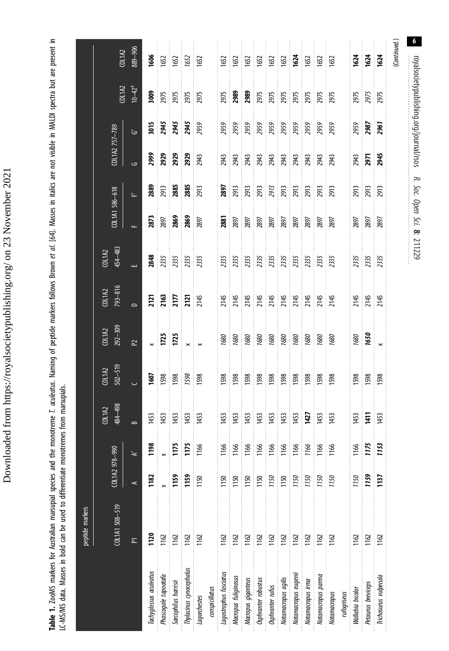Downloaded from https://royalsocietypublishing.org/ on 23 November 2021 Downloaded from https://royalsocietypublishing.org/ on 23 November 2021 <span id="page-5-0"></span>Table 1. ZooMS markers for Australian marsupial species and the monotreme *T. oculeatus.* Naming of peptide markers follows Brown *et al.* [64]. Masses in italics are not visible in MALDI spectra but are present in<br>LC-MS/M Table 1. ZooMS markers for Australian marsupial species and the monotreme *T. aculeatus.* Naming of peptide markers follows Brown *et al.* [[64](#page-16-0)]. Masses in italics are not visible in MALDI spectra but are present in LC-MS/MS data. Masses in bold can be used to differentiate monotremes from marsupials.

|                          | peptide markers |                |                |                          |                              |                                               |                              |                                                                          |                                            |                                                                                                                                                                        |                      |                                               |                              |                                     |
|--------------------------|-----------------|----------------|----------------|--------------------------|------------------------------|-----------------------------------------------|------------------------------|--------------------------------------------------------------------------|--------------------------------------------|------------------------------------------------------------------------------------------------------------------------------------------------------------------------|----------------------|-----------------------------------------------|------------------------------|-------------------------------------|
|                          | COLTA1 508-519  | COL1A2 978-990 |                | 484-498<br><b>COL1A2</b> | $502 - 519$<br><b>COL1A2</b> | $292 - 309$<br>COL1A2                         | 793-816<br>COL1A2            | 454-483<br>C0L1A2                                                        | COL1A1 586-618                             |                                                                                                                                                                        | COL1A2 757-789       |                                               | $C$ 011 $A$ 2                | COL1A2                              |
|                          | $\overline{p}$  | ⋖              | '≺             | $\approx$                |                              | P <sub>2</sub>                                | ە                            |                                                                          |                                            | ᆚ                                                                                                                                                                      | ٯ                    | ত                                             | $10 - 42^{\circ}$            | 889-906                             |
| Tachyglossus aculeatus   | 1120            | 1182           | 1198           |                          |                              | $\times$                                      |                              |                                                                          |                                            | 2889                                                                                                                                                                   |                      |                                               |                              |                                     |
| Phascogale tapoatafa     | 1162            |                |                |                          |                              |                                               |                              |                                                                          |                                            |                                                                                                                                                                        |                      |                                               |                              |                                     |
| Sarcophilus harrisii     | 1162            | 1159           | 1175           | 1453<br>1453<br>1453     | 1607<br>1598<br>1598         | $\begin{array}{c}\n1725 \\ 1725\n\end{array}$ | 2121<br>2152<br>2152<br>2152 | 2848<br>2335<br>2335                                                     | 2873<br>2897<br>2869                       | 2913<br>2885<br>2885                                                                                                                                                   | 2999<br>2929<br>2929 | 3015<br>2945<br>2945<br>2959                  | 3009<br>2975<br>2975<br>2975 | 1606<br>1652<br>1652                |
| Thylacinus cynocephalus  | 1162            | 1159           | $\frac{1}{11}$ |                          |                              |                                               |                              |                                                                          |                                            |                                                                                                                                                                        |                      |                                               |                              |                                     |
| Lagorchestes             | 1162            | 1150           | 1166           | $\frac{1453}{2}$         | 1598                         | $\frac{1}{2}$ $\times$                        | 2145                         | 2335                                                                     | 2897                                       | 2913                                                                                                                                                                   | 2943                 |                                               | 2975                         | 1652                                |
| conspicillatus           |                 |                |                |                          |                              |                                               |                              |                                                                          |                                            |                                                                                                                                                                        |                      |                                               |                              |                                     |
| Lagostrophus fasciatus   | 1162            | 1150           | 1166           | 1453                     | 1598                         | 1680                                          |                              |                                                                          |                                            |                                                                                                                                                                        |                      |                                               |                              |                                     |
| Macropus fuliginosus     | 1162            | 1150           | 1166           | 1453                     | <b>1598</b><br>1598          | 1680<br>1680                                  |                              |                                                                          |                                            |                                                                                                                                                                        |                      |                                               | 2975<br>2989<br>2989         | 162<br>162<br>163                   |
| Macropus giganteus       | 1162            | <b>1150</b>    | 1166           | 1453                     |                              |                                               |                              |                                                                          |                                            |                                                                                                                                                                        |                      |                                               |                              |                                     |
| Osphranter robustus      | 1162            | 1150           | 1166           | 1453                     | 1598                         | 1680                                          |                              |                                                                          |                                            |                                                                                                                                                                        |                      |                                               | 2975                         |                                     |
| Osphranter rufus         | 1162            | 1150           | 1166           | 1453                     | <b>1598</b>                  |                                               |                              |                                                                          |                                            |                                                                                                                                                                        |                      |                                               |                              |                                     |
| Notamacropus agilis      | 1162            | <b>1150</b>    | 1166           | 1453                     |                              | 1680<br>1680<br>1680                          |                              | $\begin{array}{c} 233 \\ 233 \\ 233 \\ 233 \\ 233 \\ 233 \\ \end{array}$ | <b>285</b><br>2897<br>2897<br>2897<br>2897 | <b>285</b><br>2911 - 2911 - 2911 - 2911 - 2911 - 2913<br>2913 - 2912 - 2913 - 2913 - 2913 - 2913 - 2913 - 2913 - 2913 - 2913 - 2913 - 2914 - 2914 - 2914 - 2914 - 2914 |                      | 2959<br>2959 2959 2959<br>2959 2959 2959 2959 | 2975<br>2975<br>2975<br>2975 | 1652<br>1652<br><b>1644</b><br>1652 |
| Notamacropus eugenii     | 1162            | 1150           | 1166           | 1453                     | 1598                         |                                               |                              |                                                                          |                                            |                                                                                                                                                                        |                      |                                               |                              |                                     |
| <b>Votamacropus irma</b> | 1162            | 1150           | 1166           | <b>1427</b><br>1453      | <b>1598</b><br>1598          | 1680<br>1680                                  |                              |                                                                          | 2897<br>2897                               |                                                                                                                                                                        |                      |                                               |                              |                                     |
| Notamacropus parma       | 1162            | 150            | 1166           |                          |                              |                                               |                              |                                                                          |                                            |                                                                                                                                                                        |                      |                                               |                              |                                     |
| Notamacropus             | 1162            | 1150           | 1166           | 1453                     | <b>1598</b>                  | 1680                                          |                              |                                                                          | 2897                                       |                                                                                                                                                                        |                      | 2959                                          | 2975                         | 1652                                |
| rufogriseus              |                 |                |                |                          |                              |                                               |                              |                                                                          |                                            |                                                                                                                                                                        |                      |                                               |                              |                                     |
| Wallabia bicolor         | 1162            | 1150           | 1166           | 1453                     | 1598                         | 1680<br><b>1650</b>                           |                              |                                                                          |                                            |                                                                                                                                                                        |                      |                                               |                              |                                     |
| Petaurus breviceps       | 1162            | <b>1159</b>    | 1175           | 三                        | 1598                         |                                               | 2145<br>2145<br>2145         | 2335<br>2335<br>2335                                                     | 2897<br>2897                               |                                                                                                                                                                        | 2943<br>2971<br>2945 | 2959<br><b>2987</b><br><b>2961</b>            | 2975<br>2975<br>2975         | 1624<br>1624<br>1624                |
| Trichosurus vulpecula    | 1162            | 1137           | 1153           | $\frac{1453}{1453}$      | <b>1598</b>                  | $\frac{1}{\mathbf{X}}$                        |                              |                                                                          | 2897                                       |                                                                                                                                                                        |                      |                                               |                              |                                     |
|                          |                 |                |                |                          |                              |                                               |                              |                                                                          |                                            |                                                                                                                                                                        |                      |                                               |                              | (Continued.)                        |
|                          |                 |                |                |                          |                              |                                               |                              |                                                                          |                                            |                                                                                                                                                                        |                      |                                               |                              |                                     |

royalsodetypublishing.org/journal/rsos R. Soc. Open Sci. 8: 211229 royalsocietypublishing.org/journal/rsos royalsocietypublishing.org/journal/rsos R. Soc. Open Sci. 8:

 $6\overline{6}$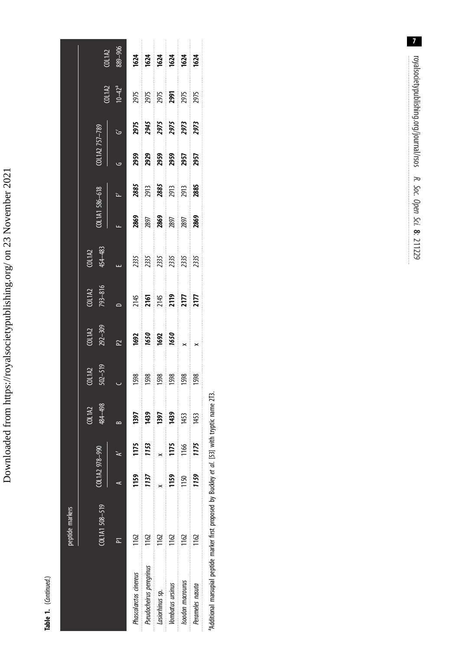Downloaded from https://royalsocietypublishing.org/ on 23 November 2021 Downloaded from https://royalsocietypublishing.org/ on 23 November 2021

> Table 1. (Continued.) Table 1. (Continued.)

|                                                                                                        | peptide markers |                |             |                          |                              |                      |                                      |                    |                                      |                                      |                                      |                                      |                                                                                                                                                                                                                                                 |                              |
|--------------------------------------------------------------------------------------------------------|-----------------|----------------|-------------|--------------------------|------------------------------|----------------------|--------------------------------------|--------------------|--------------------------------------|--------------------------------------|--------------------------------------|--------------------------------------|-------------------------------------------------------------------------------------------------------------------------------------------------------------------------------------------------------------------------------------------------|------------------------------|
|                                                                                                        | COL1A1 508-519  | COL1A2 978-990 |             | 484-498<br><b>COLIA2</b> | $\frac{1}{1011}$<br>502-519  | $\frac{1}{292-309}$  | $COL1A2$<br>793-816                  | $CL1A2$<br>454-483 | COL1A1 586-618                       |                                      | COL1A2 757-789                       |                                      |                                                                                                                                                                                                                                                 |                              |
|                                                                                                        |                 |                |             | $\sim$                   |                              | $\mathsf{P}$         |                                      |                    |                                      |                                      |                                      | ৬                                    | (01 1 A2 $^{10}$ - 42 $^{10}$ - 42 $^{10}$ - 42 $^{10}$ - 42 $^{10}$ - 42 $^{10}$ - 42 $^{10}$ - 42 $^{10}$ - 42 $^{10}$ - 42 $^{10}$ - 42 $^{10}$ - 42 $^{10}$ - 42 $^{10}$ - 42 $^{10}$ - 42 $^{10}$ - 42 $^{10}$ - 42 $^{10}$ - 42 $^{10}$ - | COL1A2<br>889-906            |
| Phascolarctos cinereus                                                                                 | 1162            | 1159           | 1175        | 1397                     | 1598                         |                      | 2145<br>2161<br>2145<br>2177<br>2177 |                    |                                      |                                      |                                      |                                      |                                                                                                                                                                                                                                                 |                              |
| Pseudocheirus peregrinus                                                                               | 1162            | 1137           | 1153        | 1439<br>1397<br>1453     | 1598<br>1598<br>1598<br>1598 | 1692<br>1650<br>1692 |                                      |                    | 2869<br>2897<br>2869<br>2897<br>2897 | 2885<br>2913<br>2885<br>2913<br>2913 | 2959<br>2959<br>2959<br>2957<br>2957 | 2975<br>2945<br>2975<br>2973<br>2973 |                                                                                                                                                                                                                                                 | 1624<br>1624<br>1624<br>1624 |
| Lasiorhinus sp.                                                                                        | 1162            |                |             |                          |                              |                      |                                      |                    |                                      |                                      |                                      |                                      |                                                                                                                                                                                                                                                 |                              |
| Vombatus ursinus                                                                                       | 1162            | 1159           | 1175        |                          |                              |                      |                                      |                    |                                      |                                      |                                      |                                      |                                                                                                                                                                                                                                                 |                              |
| soodon macrourus                                                                                       | 1162            | 1150           | 1166        |                          |                              |                      |                                      |                    |                                      |                                      |                                      |                                      |                                                                                                                                                                                                                                                 |                              |
| Perameles nasuta                                                                                       | 1162            | 1159           | <b>1175</b> | 1453                     |                              |                      |                                      |                    |                                      |                                      |                                      |                                      |                                                                                                                                                                                                                                                 |                              |
| additional marginal pentide marker first proposed by Buckley <i>et al</i> [53] with tryptic name $213$ |                 |                |             |                          |                              |                      |                                      |                    |                                      |                                      |                                      |                                      |                                                                                                                                                                                                                                                 |                              |

<sup>a</sup>Additional marsupial peptide marker first proposed by Buckley et al. [[53](#page-16-0)] with tryptic name 2T3. ķ י<br>ב Ĺ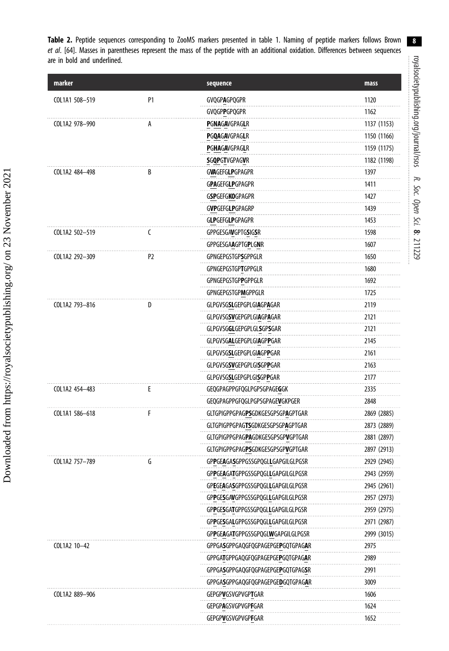<span id="page-7-0"></span>Table 2. Peptide sequences corresponding to ZooMS markers presented in [table 1](#page-5-0). Naming of peptide markers follows Brown et al. [\[64\]](#page-16-0). Masses in parentheses represent the mass of the peptide with an additional oxidation. Differences between sequences are in bold and underlined.

| marker              |                | sequence                                                              | mass        |
|---------------------|----------------|-----------------------------------------------------------------------|-------------|
| COL1A1 508-519      | P <sub>1</sub> | GVQGPAGPQGPR                                                          | 1120        |
|                     |                | GVQGP <b>P</b> GPQGPR                                                 | 1162        |
| COL1A2 978-990      | A              | <b>PGNAGAVGPAGLR</b>                                                  | 1137 (1153) |
|                     |                | <b>PGQAGAVGPAGLR</b>                                                  | 1150 (1166) |
|                     |                | <b>PGHAGAVGPAGLR</b>                                                  | 1159 (1175) |
|                     |                | <b>SGQPGTVGPAGVR</b>                                                  | 1182 (1198) |
| COL1A2 484-498      | B              | <b>GVAGEFGLPGPAGPR</b>                                                | 1397        |
|                     |                | <b>GPAGEFGLPGPAGPR</b>                                                | 1411        |
|                     |                | GSPGEFGKOGPAGPR                                                       | 1427        |
|                     |                | GVPGEFGLPGPAGRP                                                       | 1439        |
|                     |                | <b>GLPGEFGLPGPAGPR</b>                                                | 1453        |
| COL1A2 502-519      | C              | GPPGESGA <b>V</b> GPTG <b>S</b> IG <b>S</b> R                         | 1598        |
|                     |                | GPPGESGAAGPTG <b>P</b> LGNR                                           | 1607        |
| COL1A2 292-309      | P <sub>2</sub> | GPNGEPGSTGPSGPPGLR                                                    | 1650        |
|                     |                | GPNGEPGSTGP <b>T</b> GPPGLR                                           | 1680        |
|                     |                | GPNGEPGSTGPPGPPGLR                                                    | 1692        |
|                     |                | GPNGEPGSTGPMGPPGLR                                                    | 1725        |
| COL1A2 793-816      | D              | GLPGVSG <b>SL</b> GEPGPLGI <b>A</b> GP <b>A</b> GAR                   | 2119        |
|                     |                | GLPGVSG <b>SV</b> GEPGPLGI <b>A</b> GP <b>A</b> GAR                   | 2121        |
|                     |                | GLPGVSG <b>GL</b> GEPGPLGL <b>S</b> GP <b>S</b> GAR                   | 2121        |
|                     |                | GLPGVSGALGEPGPLGIAGPPGAR                                              | 2145        |
|                     |                | GLPGVSGSLGEPGPLGIAGPPGAR                                              | 2161        |
|                     |                | GLPGVSG <b>SV</b> GEPGPLGI <b>S</b> GP <b>P</b> GAR                   | 2163        |
|                     |                | GLPGVSG <b>SL</b> GEPGPLGI <b>S</b> GP <b>P</b> GAR                   | 2177        |
| COL1A2 454-483      | E              | GEQGPAGPPGFQGLPGPSGPAGE <b>G</b> GK                                   | 2335        |
|                     |                | GEQGPAGPPGFQGLPGPSGPAGE <b>V</b> GKPGER                               | 2848        |
| COL1A1 586-618      | F              | GLTGPIGPPGPAG <b>PS</b> GDKGESGPSGP <b>A</b> GPTGAR                   | 2869 (2885) |
|                     |                | GLTGPIGPPGPAG <b>TS</b> GDKGESGPSGP <b>A</b> GPTGAR                   | 2873 (2889) |
|                     |                | GLTGPIGPPGPAG <b>PA</b> GDKGESGPSGP <b>V</b> GPTGAR                   | 2881 (2897) |
|                     |                | GLTGPIGPPGPAG <b>PS</b> GDKGESGPSGP <b>V</b> GPTGAR                   | 2897 (2913) |
| $COLTAZ / 57 - 789$ | G.             | GPPGEAGASGPPGSSGPQGLLGAPGILGLPGSR                                     | 2929 (2945) |
|                     |                | GPPGEAGATGPPGSSGPQGLLGAPGILGLPGSR                                     | 2943 (2959) |
|                     |                | GPEGEAGASGPPGSSGPQGLLGAPGILGLPGSR                                     | 2945 (2961) |
|                     |                | GP <b>P</b> GE <b>S</b> GA <b>V</b> GPPGSSGPQGL <b>L</b> GAPGILGLPGSR | 2957 (2973) |
|                     |                | GP <b>P</b> GE <b>S</b> GATGPPGSSGPQGL <b>L</b> GAPGILGLPGSR          | 2959 (2975) |
|                     |                | GP <b>P</b> GE <b>S</b> GALGPPGSSGPQGLLGAPGILGLPGSR                   | 2971 (2987) |
|                     |                | GP <b>P</b> GE <b>A</b> GA <b>T</b> GPPGSSGPQGL <b>W</b> GAPGILGLPGSR | 2999 (3015) |
| COL1A2 10-42        |                | GPPGA <b>S</b> GPPGAQGFQGPAGEPGE <b>P</b> GQTGPAG <b>A</b> R          | 2975        |
|                     |                | GPPGATGPPGAQGFQGPAGEPGEPGQTGPAGAR                                     | 2989        |
|                     |                | GPPGA <b>S</b> GPPGAQGFQGPAGEPGE <b>P</b> GQTGPAG <b>S</b> R          | 2991        |
|                     |                | GPPGA <b>S</b> GPPGAQGFQGPAGEPGE <b>D</b> GQTGPAG <b>A</b> R          | 3009        |
| COL1A2 889-906      |                | GEPGP <b>V</b> GSVGPVGP <b>T</b> GAR                                  | 1606        |
|                     |                | GEPGPAGSVGPVGPFGAR                                                    | 1624        |
|                     |                | GEPGP <b>V</b> GSVGPVGP <b>F</b> GAR                                  | 1652        |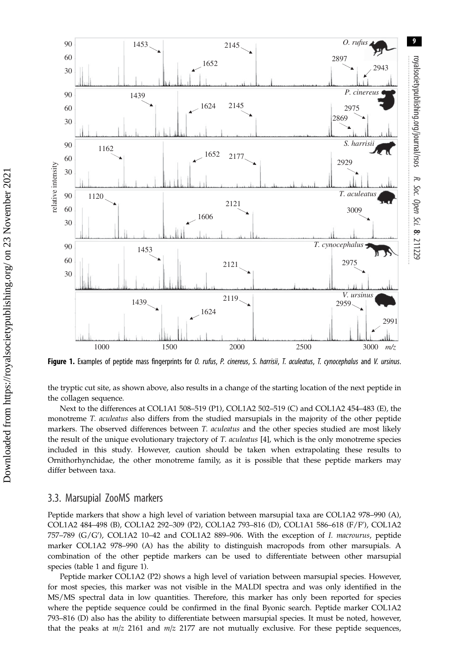

Sci.

8: 211229

Figure 1. Examples of peptide mass fingerprints for *O. rufus, P. cinereus, S. harrisii, T. aculeatus, T. cynocephalus* and *V. ursinus.* 

the tryptic cut site, as shown above, also results in a change of the starting location of the next peptide in the collagen sequence.

Next to the differences at COL1A1 508–519 (P1), COL1A2 502–519 (C) and COL1A2 454–483 (E), the monotreme T. aculeatus also differs from the studied marsupials in the majority of the other peptide markers. The observed differences between T. aculeatus and the other species studied are most likely the result of the unique evolutionary trajectory of T. aculeatus [[4](#page-14-0)], which is the only monotreme species included in this study. However, caution should be taken when extrapolating these results to Ornithorhynchidae, the other monotreme family, as it is possible that these peptide markers may differ between taxa.

#### 3.3. Marsupial ZooMS markers

Peptide markers that show a high level of variation between marsupial taxa are COL1A2 978–990 (A), COL1A2 484–498 (B), COL1A2 292–309 (P2), COL1A2 793–816 (D), COL1A1 586–618 (F/F'), COL1A2 757–789 (G/G'), COL1A2 10–42 and COL1A2 889–906. With the exception of I. macrourus, peptide marker COL1A2 978–990 (A) has the ability to distinguish macropods from other marsupials. A combination of the other peptide markers can be used to differentiate between other marsupial species [\(table 1](#page-5-0) and figure 1).

Peptide marker COL1A2 (P2) shows a high level of variation between marsupial species. However, for most species, this marker was not visible in the MALDI spectra and was only identified in the MS/MS spectral data in low quantities. Therefore, this marker has only been reported for species where the peptide sequence could be confirmed in the final Byonic search. Peptide marker COL1A2 793–816 (D) also has the ability to differentiate between marsupial species. It must be noted, however, that the peaks at  $m/z$  2161 and  $m/z$  2177 are not mutually exclusive. For these peptide sequences,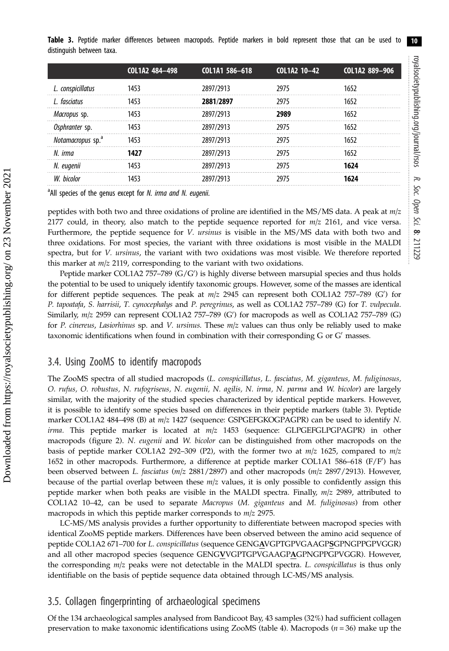Table 3. Peptide marker differences between macropods. Peptide markers in bold represent those that can be used to distinguish between taxa. 10

|                               | COL1A2 484-498 | COL1A1 586-618 | COL1A2 10-42 | COL1A2 889-906 |
|-------------------------------|----------------|----------------|--------------|----------------|
| L. conspicillatus             | 1453           | 2897/2913      | 2975         | 1652           |
| L. fasciatus                  | 1453           | 2881/2897      | 2975         | 1652           |
| Macropus sp.                  | 1453           | 2897/2913      | 2989         | 1652           |
| Osphranter sp.                | 1453           | 2897/2913      | 2975         | 1652           |
| Notamacropus sp. <sup>a</sup> | 1453           | 2897/2913      | 2975         | 1652           |
| N. irma                       | 1427           | 2897/2913      | 2975         | 1652           |
| N. eugenii                    | 1453           | 2897/2913      | 2975         | 1624           |
| W. bicolor                    | 1453           | 2897/2913      | 2975         | 1624           |
|                               |                |                |              |                |

<sup>a</sup>All species of the genus except for N. irma and N. eugenii.

peptides with both two and three oxidations of proline are identified in the MS/MS data. A peak at m/z 2177 could, in theory, also match to the peptide sequence reported for  $m/z$  2161, and vice versa. Furthermore, the peptide sequence for *V. ursinus* is visible in the MS/MS data with both two and three oxidations. For most species, the variant with three oxidations is most visible in the MALDI spectra, but for *V. ursinus*, the variant with two oxidations was most visible. We therefore reported this marker at  $m/z$  2119, corresponding to the variant with two oxidations.

Peptide marker COL1A2 757-789 (G/G') is highly diverse between marsupial species and thus holds the potential to be used to uniquely identify taxonomic groups. However, some of the masses are identical for different peptide sequences. The peak at  $m/z$  2945 can represent both COL1A2 757–789 (G') for P. tapoatafa, S. harrisii, T. cynocephalys and P. peregrinus, as well as COL1A2 757–789 (G) for T. vulpecula. Similarly,  $m/z$  2959 can represent COL1A2 757–789 (G') for macropods as well as COL1A2 757–789 (G) for P. cinereus, Lasiorhinus sp. and V. ursinus. These  $m/z$  values can thus only be reliably used to make taxonomic identifications when found in combination with their corresponding  $G$  or  $G'$  masses.

#### 3.4. Using ZooMS to identify macropods

The ZooMS spectra of all studied macropods (L. conspicillatus, L. fasciatus, M. giganteus, M. fuliginosus, O. rufus, O. robustus, N. rufogriseus, N. eugenii, N. agilis, N. irma, N. parma and W. bicolor) are largely similar, with the majority of the studied species characterized by identical peptide markers. However, it is possible to identify some species based on differences in their peptide markers (table 3). Peptide marker COL1A2 484–498 (B) at  $m/z$  1427 (sequence: GSPGEFGKOGPAGPR) can be used to identify N. *irma*. This peptide marker is located at  $m/z$  1453 (sequence: GLPGEFGLPGPAGPR) in other macropods [\(figure 2](#page-10-0)). N. eugenii and W. bicolor can be distinguished from other macropods on the basis of peptide marker COL1A2 292-309 (P2), with the former two at  $m/z$  1625, compared to  $m/z$ 1652 in other macropods. Furthermore, a difference at peptide marker COL1A1 586-618 (F/F') has been observed between L. fasciatus (m/z 2881/2897) and other macropods (m/z 2897/2913). However, because of the partial overlap between these  $m/z$  values, it is only possible to confidently assign this peptide marker when both peaks are visible in the MALDI spectra. Finally, m/z 2989, attributed to COL1A2 10–42, can be used to separate Macropus (M. giganteus and M. fuliginosus) from other macropods in which this peptide marker corresponds to  $m/z$  2975.

LC-MS/MS analysis provides a further opportunity to differentiate between macropod species with identical ZooMS peptide markers. Differences have been observed between the amino acid sequence of peptide COL1A2 671-700 for L. conspicillatus (sequence GENGAVGPTGPVGAAGPSGPNGPPGPVGGR) and all other macropod species (sequence GENGVVGPTGPVGAAGPAGPNGPPGPVGGR). However, the corresponding  $m/z$  peaks were not detectable in the MALDI spectra. L. conspicillatus is thus only identifiable on the basis of peptide sequence data obtained through LC-MS/MS analysis.

#### 3.5. Collagen fingerprinting of archaeological specimens

Of the 134 archaeological samples analysed from Bandicoot Bay, 43 samples (32%) had sufficient collagen preservation to make taxonomic identifications using ZooMS ([table 4](#page-11-0)). Macropods ( $n = 36$ ) make up the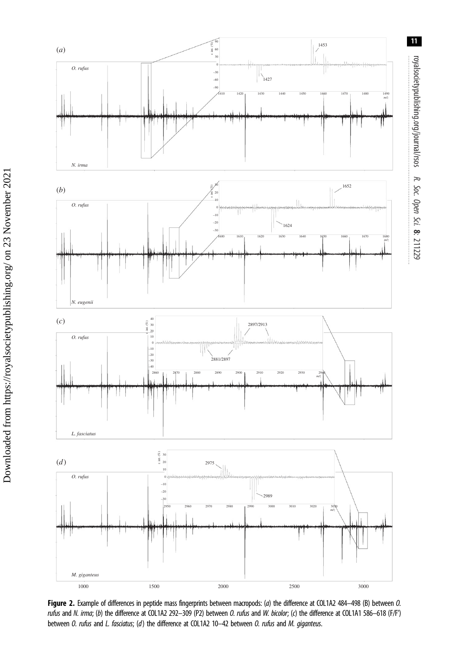<span id="page-10-0"></span>

royalsocietypublishing.org/journal/rsos

R.

Soc. Open

Sci.

8: 211229

Figure 2. Example of differences in peptide mass fingerprints between macropods: (a) the difference at COL1A2 484-498 (B) between O. rufus and N. irma; (b) the difference at COL1A2 292-309 (P2) between O. rufus and W. bicolor; (c) the difference at COL1A1 586-618 (F/F') between *O. rufus* and *L. fasciatus; (d)* the difference at COL1A2 10-42 between *O. rufus* and *M. giganteus.*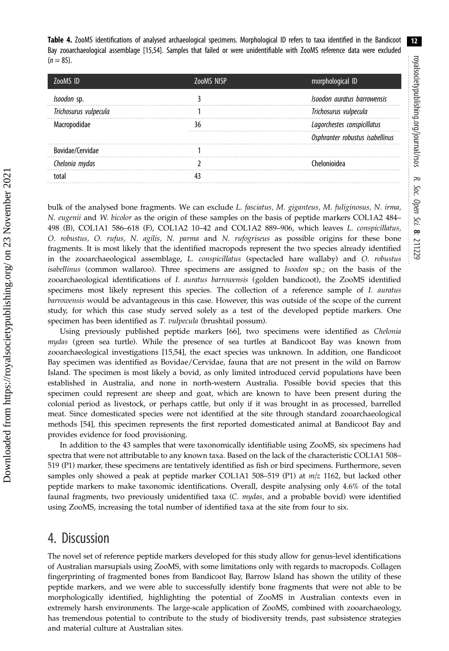<span id="page-11-0"></span>Table 4. ZooMS identifications of analysed archaeological specimens. Morphological ID refers to taxa identified in the Bandicoot Bay zooarchaeological assemblage [[15](#page-15-0)[,54\]](#page-16-0). Samples that failed or were unidentifiable with ZooMS reference data were excluded  $(n = 85)$ .

| ZooMS ID              | ZooMS NISP | morphological ID                |
|-----------------------|------------|---------------------------------|
| <i>Isoodon</i> sp.    |            | Isoodon auratus barrowensis     |
| Trichosurus vulpecula |            | Trichosurus vulpecula           |
| Macropodidae          | 36         | Lagorchestes conspicillatus     |
|                       |            | Osphranter robustus isabellinus |
| Bovidae/Cervidae      |            |                                 |
| Chelonia mydas        |            | <b>helonioidea</b>              |
| tota                  |            |                                 |

bulk of the analysed bone fragments. We can exclude L. fasciatus, M. giganteus, M. fuliginosus, N. irma, N. eugenii and W. bicolor as the origin of these samples on the basis of peptide markers COL1A2 484– 498 (B), COL1A1 586–618 (F), COL1A2 10–42 and COL1A2 889–906, which leaves L. conspicillatus, O. robustus, O. rufus, N. agilis, N. parma and N. rufogriseus as possible origins for these bone fragments. It is most likely that the identified macropods represent the two species already identified in the zooarchaeological assemblage, L. conspicillatus (spectacled hare wallaby) and O. robustus isabellinus (common wallaroo). Three specimens are assigned to Isoodon sp.; on the basis of the zooarchaeological identifications of I. auratus barrowensis (golden bandicoot), the ZooMS identified specimens most likely represent this species. The collection of a reference sample of I. auratus barrowensis would be advantageous in this case. However, this was outside of the scope of the current study, for which this case study served solely as a test of the developed peptide markers. One specimen has been identified as T. vulpecula (brushtail possum).

Using previously published peptide markers [[66\]](#page-16-0), two specimens were identified as Chelonia mydas (green sea turtle). While the presence of sea turtles at Bandicoot Bay was known from zooarchaeological investigations [\[15](#page-15-0),[54\]](#page-16-0), the exact species was unknown. In addition, one Bandicoot Bay specimen was identified as Bovidae/Cervidae, fauna that are not present in the wild on Barrow Island. The specimen is most likely a bovid, as only limited introduced cervid populations have been established in Australia, and none in north-western Australia. Possible bovid species that this specimen could represent are sheep and goat, which are known to have been present during the colonial period as livestock, or perhaps cattle, but only if it was brought in as processed, barrelled meat. Since domesticated species were not identified at the site through standard zooarchaeological methods [[54\]](#page-16-0), this specimen represents the first reported domesticated animal at Bandicoot Bay and provides evidence for food provisioning.

In addition to the 43 samples that were taxonomically identifiable using ZooMS, six specimens had spectra that were not attributable to any known taxa. Based on the lack of the characteristic COL1A1 508– 519 (P1) marker, these specimens are tentatively identified as fish or bird specimens. Furthermore, seven samples only showed a peak at peptide marker COL1A1 508-519 (P1) at  $m/z$  1162, but lacked other peptide markers to make taxonomic identifications. Overall, despite analysing only 4.6% of the total faunal fragments, two previously unidentified taxa (C. mydas, and a probable bovid) were identified using ZooMS, increasing the total number of identified taxa at the site from four to six.

### 4. Discussion

The novel set of reference peptide markers developed for this study allow for genus-level identifications of Australian marsupials using ZooMS, with some limitations only with regards to macropods. Collagen fingerprinting of fragmented bones from Bandicoot Bay, Barrow Island has shown the utility of these peptide markers, and we were able to successfully identify bone fragments that were not able to be morphologically identified, highlighting the potential of ZooMS in Australian contexts even in extremely harsh environments. The large-scale application of ZooMS, combined with zooarchaeology, has tremendous potential to contribute to the study of biodiversity trends, past subsistence strategies and material culture at Australian sites.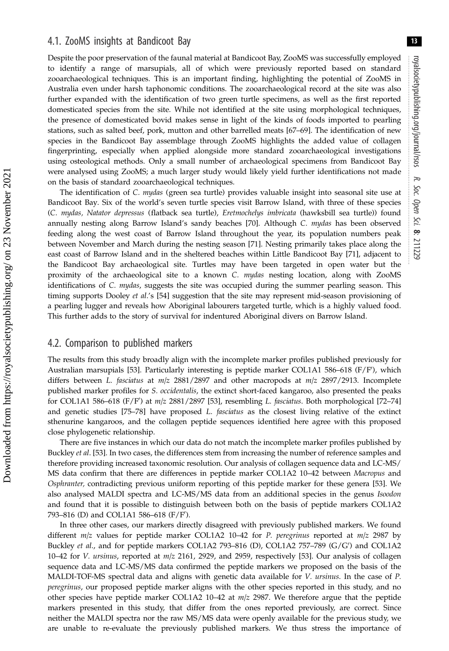#### 4.1. ZooMS insights at Bandicoot Bay

Despite the poor preservation of the faunal material at Bandicoot Bay, ZooMS was successfully employed to identify a range of marsupials, all of which were previously reported based on standard zooarchaeological techniques. This is an important finding, highlighting the potential of ZooMS in Australia even under harsh taphonomic conditions. The zooarchaeological record at the site was also further expanded with the identification of two green turtle specimens, as well as the first reported domesticated species from the site. While not identified at the site using morphological techniques, the presence of domesticated bovid makes sense in light of the kinds of foods imported to pearling stations, such as salted beef, pork, mutton and other barrelled meats [[67](#page-16-0)–[69](#page-16-0)]. The identification of new species in the Bandicoot Bay assemblage through ZooMS highlights the added value of collagen fingerprinting, especially when applied alongside more standard zooarchaeological investigations using osteological methods. Only a small number of archaeological specimens from Bandicoot Bay were analysed using ZooMS; a much larger study would likely yield further identifications not made on the basis of standard zooarchaeological techniques.

The identification of C. *mydas* (green sea turtle) provides valuable insight into seasonal site use at Bandicoot Bay. Six of the world's seven turtle species visit Barrow Island, with three of these species (C. mydas, Natator depressus (flatback sea turtle), Eretmochelys imbricata (hawksbill sea turtle)) found annually nesting along Barrow Island's sandy beaches [\[70](#page-16-0)]. Although C. mydas has been observed feeding along the west coast of Barrow Island throughout the year, its population numbers peak between November and March during the nesting season [\[71](#page-16-0)]. Nesting primarily takes place along the east coast of Barrow Island and in the sheltered beaches within Little Bandicoot Bay [\[71](#page-16-0)], adjacent to the Bandicoot Bay archaeological site. Turtles may have been targeted in open water but the proximity of the archaeological site to a known C. mydas nesting location, along with ZooMS identifications of C. mydas, suggests the site was occupied during the summer pearling season. This timing supports Dooley et al.'s [\[54](#page-16-0)] suggestion that the site may represent mid-season provisioning of a pearling lugger and reveals how Aboriginal labourers targeted turtle, which is a highly valued food. This further adds to the story of survival for indentured Aboriginal divers on Barrow Island.

#### 4.2. Comparison to published markers

The results from this study broadly align with the incomplete marker profiles published previously for Australian marsupials [[53\]](#page-16-0). Particularly interesting is peptide marker COL1A1 586–618 (F/F'), which differs between L. fasciatus at  $m/z$  2881/2897 and other macropods at  $m/z$  2897/2913. Incomplete published marker profiles for S. occidentalis, the extinct short-faced kangaroo, also presented the peaks for COL1A1 586–618 (F/F') at  $m/z$  2881/2897 [\[53](#page-16-0)], resembling L. fasciatus. Both morphological [\[72](#page-16-0)–[74\]](#page-16-0) and genetic studies [\[75](#page-16-0)–[78](#page-16-0)] have proposed L. fasciatus as the closest living relative of the extinct sthenurine kangaroos, and the collagen peptide sequences identified here agree with this proposed close phylogenetic relationship.

There are five instances in which our data do not match the incomplete marker profiles published by Buckley *et al.* [[53\]](#page-16-0). In two cases, the differences stem from increasing the number of reference samples and therefore providing increased taxonomic resolution. Our analysis of collagen sequence data and LC-MS/ MS data confirm that there are differences in peptide marker COL1A2 10-42 between Macropus and Osphranter, contradicting previous uniform reporting of this peptide marker for these genera [\[53](#page-16-0)]. We also analysed MALDI spectra and LC-MS/MS data from an additional species in the genus Isoodon and found that it is possible to distinguish between both on the basis of peptide markers COL1A2 793–816 (D) and COL1A1 586–618 (F/F').

In three other cases, our markers directly disagreed with previously published markers. We found different  $m/z$  values for peptide marker COL1A2 10–42 for P. peregrinus reported at  $m/z$  2987 by Buckley et al., and for peptide markers COL1A2 793–816 (D), COL1A2 757–789 (G/G') and COL1A2 10–42 for V. ursinus, reported at  $m/z$  2161, 2929, and 2959, respectively [\[53](#page-16-0)]. Our analysis of collagen sequence data and LC-MS/MS data confirmed the peptide markers we proposed on the basis of the MALDI-TOF-MS spectral data and aligns with genetic data available for  $V$ . ursinus. In the case of  $P$ . peregrinus, our proposed peptide marker aligns with the other species reported in this study, and no other species have peptide marker COL1A2 10–42 at  $m/z$  2987. We therefore argue that the peptide markers presented in this study, that differ from the ones reported previously, are correct. Since neither the MALDI spectra nor the raw MS/MS data were openly available for the previous study, we are unable to re-evaluate the previously published markers. We thus stress the importance of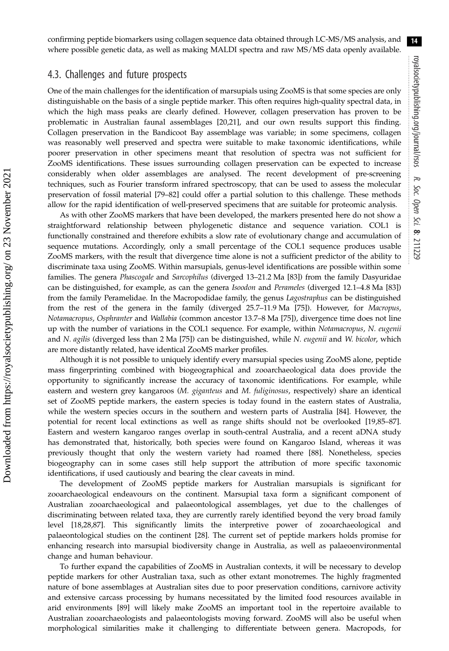confirming peptide biomarkers using collagen sequence data obtained through LC-MS/MS analysis, and where possible genetic data, as well as making MALDI spectra and raw MS/MS data openly available.

#### 4.3. Challenges and future prospects

One of the main challenges for the identification of marsupials using ZooMS is that some species are only distinguishable on the basis of a single peptide marker. This often requires high-quality spectral data, in which the high mass peaks are clearly defined. However, collagen preservation has proven to be problematic in Australian faunal assemblages [\[20,21](#page-15-0)], and our own results support this finding. Collagen preservation in the Bandicoot Bay assemblage was variable; in some specimens, collagen was reasonably well preserved and spectra were suitable to make taxonomic identifications, while poorer preservation in other specimens meant that resolution of spectra was not sufficient for ZooMS identifications. These issues surrounding collagen preservation can be expected to increase considerably when older assemblages are analysed. The recent development of pre-screening techniques, such as Fourier transform infrared spectroscopy, that can be used to assess the molecular preservation of fossil material [[79](#page-16-0)–[82](#page-16-0)] could offer a partial solution to this challenge. These methods allow for the rapid identification of well-preserved specimens that are suitable for proteomic analysis.

As with other ZooMS markers that have been developed, the markers presented here do not show a straightforward relationship between phylogenetic distance and sequence variation. COL1 is functionally constrained and therefore exhibits a slow rate of evolutionary change and accumulation of sequence mutations. Accordingly, only a small percentage of the COL1 sequence produces usable ZooMS markers, with the result that divergence time alone is not a sufficient predictor of the ability to discriminate taxa using ZooMS. Within marsupials, genus-level identifications are possible within some families. The genera *Phascogale* and *Sarcophilus* (diverged 13–21.2 Ma [[83\]](#page-16-0)) from the family Dasyuridae can be distinguished, for example, as can the genera Isoodon and Perameles (diverged 12.1–4.8 Ma [[83\]](#page-16-0)) from the family Peramelidae. In the Macropodidae family, the genus Lagostraphus can be distinguished from the rest of the genera in the family (diverged 25.7–11.9 Ma [\[75](#page-16-0)]). However, for Macropus, Notamacropus, Osphranter and Wallabia (common ancestor 13.7–8 Ma [[75\]](#page-16-0)), divergence time does not line up with the number of variations in the COL1 sequence. For example, within Notamacropus, N. eugenii and N. agilis (diverged less than 2 Ma [[75\]](#page-16-0)) can be distinguished, while N. eugenii and W. bicolor, which are more distantly related, have identical ZooMS marker profiles.

Although it is not possible to uniquely identify every marsupial species using ZooMS alone, peptide mass fingerprinting combined with biogeographical and zooarchaeological data does provide the opportunity to significantly increase the accuracy of taxonomic identifications. For example, while eastern and western grey kangaroos (M. giganteus and M. fuliginosus, respectively) share an identical set of ZooMS peptide markers, the eastern species is today found in the eastern states of Australia, while the western species occurs in the southern and western parts of Australia [\[84](#page-16-0)]. However, the potential for recent local extinctions as well as range shifts should not be overlooked [[19,](#page-15-0)[85](#page-16-0)–[87](#page-17-0)]. Eastern and western kangaroo ranges overlap in south-central Australia, and a recent aDNA study has demonstrated that, historically, both species were found on Kangaroo Island, whereas it was previously thought that only the western variety had roamed there [[88\]](#page-17-0). Nonetheless, species biogeography can in some cases still help support the attribution of more specific taxonomic identifications, if used cautiously and bearing the clear caveats in mind.

The development of ZooMS peptide markers for Australian marsupials is significant for zooarchaeological endeavours on the continent. Marsupial taxa form a significant component of Australian zooarchaeological and palaeontological assemblages, yet due to the challenges of discriminating between related taxa, they are currently rarely identified beyond the very broad family level [[18,28](#page-15-0)[,87](#page-17-0)]. This significantly limits the interpretive power of zooarchaeological and palaeontological studies on the continent [\[28](#page-15-0)]. The current set of peptide markers holds promise for enhancing research into marsupial biodiversity change in Australia, as well as palaeoenvironmental change and human behaviour.

To further expand the capabilities of ZooMS in Australian contexts, it will be necessary to develop peptide markers for other Australian taxa, such as other extant monotremes. The highly fragmented nature of bone assemblages at Australian sites due to poor preservation conditions, carnivore activity and extensive carcass processing by humans necessitated by the limited food resources available in arid environments [\[89](#page-17-0)] will likely make ZooMS an important tool in the repertoire available to Australian zooarchaeologists and palaeontologists moving forward. ZooMS will also be useful when morphological similarities make it challenging to differentiate between genera. Macropods, for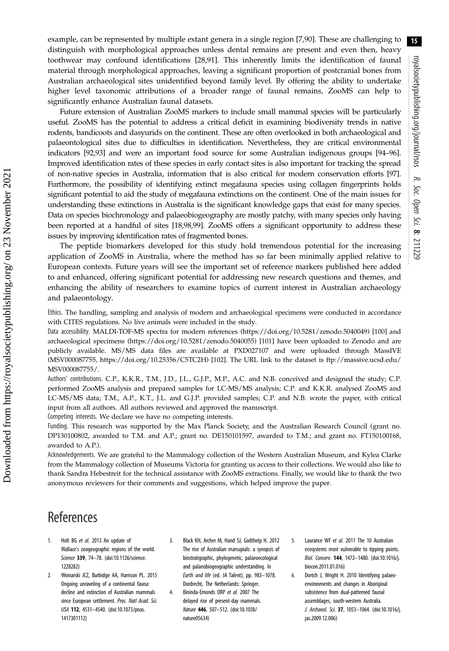<span id="page-14-0"></span>example, can be represented by multiple extant genera in a single region [\[7,](#page-15-0)[90\]](#page-17-0). These are challenging to distinguish with morphological approaches unless dental remains are present and even then, heavy toothwear may confound identifications [[28,](#page-15-0)[91\]](#page-17-0). This inherently limits the identification of faunal material through morphological approaches, leaving a significant proportion of postcranial bones from Australian archaeological sites unidentified beyond family level. By offering the ability to undertake higher level taxonomic attributions of a broader range of faunal remains, ZooMS can help to significantly enhance Australian faunal datasets.

Future extension of Australian ZooMS markers to include small mammal species will be particularly useful. ZooMS has the potential to address a critical deficit in examining biodiversity trends in native rodents, bandicoots and dasyurids on the continent. These are often overlooked in both archaeological and palaeontological sites due to difficulties in identification. Nevertheless, they are critical environmental indicators [\[92,93\]](#page-17-0) and were an important food source for some Australian indigenous groups [[94](#page-17-0)–[96](#page-17-0)]. Improved identification rates of these species in early contact sites is also important for tracking the spread of non-native species in Australia, information that is also critical for modern conservation efforts [[97](#page-17-0)]. Furthermore, the possibility of identifying extinct megafauna species using collagen fingerprints holds significant potential to aid the study of megafauna extinctions on the continent. One of the main issues for understanding these extinctions in Australia is the significant knowledge gaps that exist for many species. Data on species biochronology and palaeobiogeography are mostly patchy, with many species only having been reported at a handful of sites [[18,](#page-15-0)[98](#page-17-0),[99](#page-17-0)]. ZooMS offers a significant opportunity to address these issues by improving identification rates of fragmented bones.

The peptide biomarkers developed for this study hold tremendous potential for the increasing application of ZooMS in Australia, where the method has so far been minimally applied relative to European contexts. Future years will see the important set of reference markers published here added to and enhanced, offering significant potential for addressing new research questions and themes, and enhancing the ability of researchers to examine topics of current interest in Australian archaeology and palaeontology.

Ethics. The handling, sampling and analysis of modern and archaeological specimens were conducted in accordance with CITES regulations. No live animals were included in the study.

Data accessibility. MALDI-TOF-MS spectra for modern references [\(https://doi.org/10.5281/zenodo.5040049](https://doi.org/10.5281/zenodo.5040049)) [\[100](#page-17-0)] and archaeological specimens ([https://doi.org/10.5281/zenodo.5040055\)](https://doi.org/10.5281/zenodo.5040055) [\[101](#page-17-0)] have been uploaded to Zenodo and are publicly available. MS/MS data files are available at PXD027107 and were uploaded through MassIVE (MSV000087755,<https://doi.org/10.25356/C5TC2H>) [\[102](#page-17-0)]. The URL link to the dataset is [ftp://massive.ucsd.edu/](ftp://massive.ucsd.edu/MSV000087755/) [MSV000087755/.](ftp://massive.ucsd.edu/MSV000087755/)

Authors' contributions. C.P., K.K.R., T.M., J.D., J.L., G.J.P., M.P., A.C. and N.B. conceived and designed the study; C.P. performed ZooMS analysis and prepared samples for LC-MS/MS analysis; C.P. and K.K.R. analysed ZooMS and LC-MS/MS data; T.M., A.P., K.T., J.L. and G.J.P. provided samples; C.P. and N.B. wrote the paper, with critical input from all authors. All authors reviewed and approved the manuscript.

Competing interests. We declare we have no competing interests.

Funding. This research was supported by the Max Planck Society, and the Australian Research Council (grant no. DP130100802, awarded to T.M. and A.P.; grant no. DE150101597, awarded to T.M.; and grant no. FT150100168, awarded to A.P.).

Acknowledgements. We are grateful to the Mammalogy collection of the Western Australian Museum, and Kylea Clarke from the Mammalogy collection of Museums Victoria for granting us access to their collections. We would also like to thank Sandra Hebestreit for the technical assistance with ZooMS extractions. Finally, we would like to thank the two anonymous reviewers for their comments and suggestions, which helped improve the paper.

## **References**

- 1. Holt BG et al. 2013 An update of Wallace's zoogeographic regions of the world. Science 339, 74–78. ([doi:10.1126/science.](http://dx.doi.org/10.1126/science.1228282) [1228282\)](http://dx.doi.org/10.1126/science.1228282)
- 2. Woinarski JCZ, Burbidge AA, Harrison PL. 2015 Ongoing unraveling of a continental fauna: decline and extinction of Australian mammals since European settlement. Proc. Natl Acad. Sci. USA 112, 4531–4540. ([doi:10.1073/pnas.](http://dx.doi.org/10.1073/pnas.1417301112) [1417301112](http://dx.doi.org/10.1073/pnas.1417301112))
- 3. Black KH, Archer M, Hand SJ, Godthelp H. 2012 The rise of Australian marsupials: a synopsis of biostratigraphic, phylogenetic, palaeoecological and palaeobiogeographic understanding. In Earth and life (ed. JA Talent), pp. 983–1078. Dordrecht, The Netherlands: Springer.
- 4. Bininda-Emonds ORP et al. 2007 The delayed rise of present-day mammals. Nature 446, 507–512. ([doi:10.1038/](http://dx.doi.org/10.1038/nature05634) [nature05634\)](http://dx.doi.org/10.1038/nature05634)
- 5. Laurance WF et al. 2011 The 10 Australian ecosystems most vulnerable to tipping points. Biol. Conserv. 144, 1472–1480. [\(doi:10.1016/j.](http://dx.doi.org/10.1016/j.biocon.2011.01.016) [biocon.2011.01.016](http://dx.doi.org/10.1016/j.biocon.2011.01.016))
- 6. Dortch J, Wright H. 2010 Identifying palaeoenvironments and changes in Aboriginal subsistence from dual-patterned faunal assemblages, south-western Australia. J. Archaeol. Sci. 37, 1053–1064. ([doi:10.1016/j.](http://dx.doi.org/10.1016/j.jas.2009.12.006) [jas.2009.12.006](http://dx.doi.org/10.1016/j.jas.2009.12.006))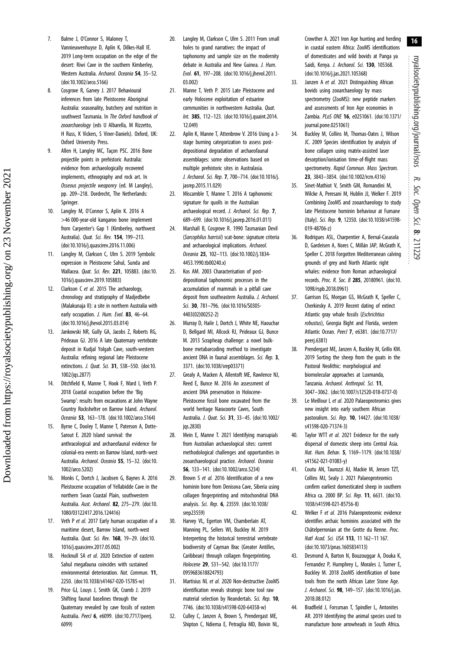Downloaded from https://royalsocietypublishing.org/ on 23 November 2021

Downloaded from https://royalsocietypublishing.org/ on 23 November 2021

- <span id="page-15-0"></span>7. Balme J, O'Connor S, Maloney T, Vannieuwenhuyse D, Aplin K, Dilkes-Hall IE. 2019 Long-term occupation on the edge of the desert: Riwi Cave in the southern Kimberley, Western Australia. Archaeol. Oceania 54, 35–52. ([doi:10.1002/arco.5166\)](https://doi.org/10.1002/arco.5166)
- 8. Cosgrove R, Garvey J. 2017 Behavioural inferences from late Pleistocene Aboriginal Australia: seasonality, butchery and nutrition in southwest Tasmania. In The Oxford handbook of zooarchaeology (eds U Albarella, M Rizzetto, H Russ, K Vickers, S Viner-Daniels). Oxford, UK: Oxford University Press.
- 9. Allen H, Langley MC, Taçon PSC. 2016 Bone projectile points in prehistoric Australia: evidence from archaeologically recovered implements, ethnography and rock art. In Osseous projectile weaponry (ed. M Langley), pp. 209–218. Dordrecht, The Netherlands: Springer.
- 10. Langley M, O'Connor S, Aplin K. 2016 A >46 000-year-old kangaroo bone implement from Carpenter's Gap 1 (Kimberley, northwest Australia). Quat. Sci. Rev. 154, 199–213. ([doi:10.1016/j.quascirev.2016.11.006](http://dx.doi.org/10.1016/j.quascirev.2016.11.006))
- 11. Langley M, Clarkson C, Ulm S. 2019 Symbolic expression in Pleistocene Sahul, Sunda and Wallacea. Quat. Sci. Rev. 221, 105883. ([doi:10.](http://dx.doi.org/10.1016/j.quascirev.2019.105883) [1016/j.quascirev.2019.105883](http://dx.doi.org/10.1016/j.quascirev.2019.105883))
- 12. Clarkson C et al. 2015 The archaeology, chronology and stratigraphy of Madjedbebe (Malakunaja II): a site in northern Australia with early occupation. J. Hum. Evol. 83, 46-64. ([doi:10.1016/j.jhevol.2015.03.014\)](http://dx.doi.org/10.1016/j.jhevol.2015.03.014)
- 13. Jankowski NR, Gully GA, Jacobs Z, Roberts RG, Prideaux GJ. 2016 A late Quaternary vertebrate deposit in Kudjal Yolgah Cave, south-western Australia: refining regional late Pleistocene extinctions. *J. Quat. Sci.* **31**, 538-550. [\(doi:10.](http://dx.doi.org/10.1002/jqs.2877) [1002/jqs.2877\)](http://dx.doi.org/10.1002/jqs.2877)
- 14. Ditchfield K, Manne T, Hook F, Ward I, Veth P. 2018 Coastal occupation before the 'Big Swamp': results from excavations at John Wayne Country Rockshelter on Barrow Island. Archaeol. Oceania 53, 163–178. ([doi:10.1002/arco.5164\)](http://dx.doi.org/10.1002/arco.5164)
- 15. Byrne C, Dooley T, Manne T, Paterson A, Dotte-Sarout E. 2020 Island survival: the anthracological and archaeofaunal evidence for colonial-era events on Barrow Island, north-west Australia. Archaeol. Oceania 55, 15–32. [\(doi:10.](http://dx.doi.org/10.1002/arco.5202) [1002/arco.5202](http://dx.doi.org/10.1002/arco.5202))
- 16. Monks C, Dortch J, Jacobsen G, Baynes A. 2016 Pleistocene occupation of Yellabidde Cave in the northern Swan Coastal Plain, southwestern Australia. Aust. Archaeol. 82, 275–279. [\(doi:10.](http://dx.doi.org/10.1080/03122417.2016.124416) [1080/03122417.2016.124416\)](http://dx.doi.org/10.1080/03122417.2016.124416)
- 17. Veth P et al. 2017 Early human occupation of a maritime desert, Barrow Island, north-west Australia. Quat. Sci. Rev. 168, 19-29. ([doi:10.](http://dx.doi.org/10.1016/j.quascirev.2017.05.002) [1016/j.quascirev.2017.05.002\)](http://dx.doi.org/10.1016/j.quascirev.2017.05.002)
- 18. Hocknull SA et al. 2020 Extinction of eastern Sahul megafauna coincides with sustained environmental deterioration. Nat. Commun. 11, 2250. [\(doi:10.1038/s41467-020-15785-w\)](http://dx.doi.org/10.1038/s41467-020-15785-w)
- 19. Price GJ, Louys J, Smith GK, Cramb J. 2019 Shifting faunal baselines through the Quaternary revealed by cave fossils of eastern Australia. PeerJ 6, e6099. [\(doi:10.7717/peerj.](http://dx.doi.org/10.7717/peerj.6099) [6099](http://dx.doi.org/10.7717/peerj.6099))
- 20. Langley M, Clarkson C, Ulm S. 2011 From small holes to grand narratives: the impact of taphonomy and sample size on the modernity debate in Australia and New Guinea. J. Hum. Evol. 61, 197–208. [\(doi:10.1016/j.jhevol.2011.](http://dx.doi.org/10.1016/j.jhevol.2011.03.002) [03.002](http://dx.doi.org/10.1016/j.jhevol.2011.03.002))
- 21. Manne T, Veth P. 2015 Late Pleistocene and early Holocene exploitation of estuarine communities in northwestern Australia. Quat. Int. 385, 112–123. ([doi:10.1016/j.quaint.2014.](http://dx.doi.org/10.1016/j.quaint.2014.12.049) [12.049](http://dx.doi.org/10.1016/j.quaint.2014.12.049))
- 22. Aplin K, Manne T, Attenbrow V. 2016 Using a 3 stage burning categorization to assess postdepositional degradation of archaeofaunal assemblages: some observations based on multiple prehistoric sites in Australasia. J. Archaeol. Sci. Rep. 7, 700–714. [\(doi:10.1016/j.](http://dx.doi.org/10.1016/j.jasrep.2015.11.029) [jasrep.2015.11.029\)](http://dx.doi.org/10.1016/j.jasrep.2015.11.029)
- 23. Miscamble T, Manne T. 2016 A taphonomic signature for quolls in the Australian archaeological record. J. Archaeol. Sci. Rep. 7, 689–699. [\(doi:10.1016/j.jasrep.2016.01.011\)](http://dx.doi.org/10.1016/j.jasrep.2016.01.011)
- 24. Marshall B, Cosgrove R. 1990 Tasmanian Devil (Sarcophilus harrisii) scat-bone: signature criteria and archaeological implications. Archaeol. Oceania 25, 102–113. ([doi:10.1002/j.1834-](http://dx.doi.org/10.1002/j.1834-4453.1990.tb00240.x) [4453.1990.tb00240.x\)](http://dx.doi.org/10.1002/j.1834-4453.1990.tb00240.x)
- 25. Kos AM. 2003 Characterisation of postdepositional taphonomic processes in the accumulation of mammals in a pitfall cave deposit from southeastern Australia. J. Archaeol. Sci. 30, 781–796. [\(doi:10.1016/S0305-](http://dx.doi.org/10.1016/S0305-4403(02)00252-2) [4403\(02\)00252-2](http://dx.doi.org/10.1016/S0305-4403(02)00252-2))
- 26. Murray D, Haile J, Dortch J, White NE, Haouchar D, Bellgard MI, Allcock RJ, Prideaux GJ, Bunce M. 2013 Scrapheap challenge: a novel bulkbone metabarcoding method to investigate ancient DNA in faunal assemblages. Sci. Rep. 3, 3371. ([doi:10.1038/srep03371](http://dx.doi.org/10.1038/srep03371))
- 27. Grealy A, Macken A, Allentoft ME, Rawlence NJ, Reed E, Bunce M. 2016 An assessment of ancient DNA preservation in Holocene-Pleistocene fossil bone excavated from the world heritage Naracoorte Caves, South Australia. J. Quat. Sci. 31, 33–45. ([doi:10.1002/](http://dx.doi.org/10.1002/jqs.2830) [jqs.2830\)](http://dx.doi.org/10.1002/jqs.2830)
- 28. Mein E, Manne T. 2021 Identifying marsupials from Australian archaeological sites: current methodological challenges and opportunities in zooarchaeological practice. Archaeol. Oceania 56, 133–141. [\(doi:10.1002/arco.5234](https://doi.org/10.1002/arco.5234))
- 29. Brown S et al. 2016 Identification of a new hominin bone from Denisova Cave, Siberia using collagen fingerprinting and mitochondrial DNA analysis. Sci. Rep. 6, 23559. [\(doi:10.1038/](http://dx.doi.org/10.1038/srep23559) [srep23559](http://dx.doi.org/10.1038/srep23559))
- 30. Harvey VL, Egerton VM, Chamberlain AT, Manning PL, Sellers WI, Buckley M. 2019 Interpreting the historical terrestrial vertebrate biodiversity of Cayman Brac (Greater Antilles, Caribbean) through collagen fingerprinting. Holocene 29, 531–542. [\(doi:10.1177/](http://dx.doi.org/10.1177/0959683618824793) [0959683618824793\)](http://dx.doi.org/10.1177/0959683618824793)
- 31. Martisius NL et al. 2020 Non-destructive ZooMS identification reveals strategic bone tool raw material selection by Neandertals. Sci. Rep. 10, 7746. ([doi:10.1038/s41598-020-64358-w\)](http://dx.doi.org/10.1038/s41598-020-64358-w)
- 32. Culley C, Janzen A, Brown S, Prendergast ME, Shipton C, Ndiema E, Petraglia MD, Boivin NL,

Crowther A. 2021 Iron Age hunting and herding in coastal eastern Africa: ZooMS identifications of domesticates and wild bovids at Panga ya Saidi, Kenya. J. Archaeol. Sci. 130, 105368. [\(doi:10.1016/j.jas.2021.105368](http://dx.doi.org/10.1016/j.jas.2021.105368))

- 33. Janzen A et al. 2021 Distinguishing African bovids using zooarchaeology by mass spectrometry (ZooMS): new peptide markers and assessments of Iron Age economies in Zambia. PLoS ONE 16, e0251061. ([doi:10.1371/](https://doi.org/10.1371/journal.pone.0251061) [journal.pone.0251061\)](https://doi.org/10.1371/journal.pone.0251061)
- 34. Buckley M, Collins M, Thomas-Oates J, Wilson JC. 2009 Species identification by analysis of bone collagen using matrix-assisted laser desorption/ionisation time-of-flight mass spectrometry. Rapid Commun. Mass Spectrom. 23, 3843–3854. ([doi:10.1002/rcm.4316\)](http://dx.doi.org/10.1002/rcm.4316)
- 35. Sinet-Mathiot V, Smith GM, Romandini M, Wilcke A, Peresani M, Hublin JJ, Welker F. 2019 Combining ZooMS and zooarchaeology to study late Pleistocene hominin behaviour at Fumane (Italy). Sci. Rep. 9, 12350. [\(doi:10.1038/s41598-](http://dx.doi.org/10.1038/s41598-019-48706-z) [019-48706-z](http://dx.doi.org/10.1038/s41598-019-48706-z))
- 36. Rodrigues ASL, Charpentier A, Bernal-Casasola D, Gardeisen A, Nores C, Millán JAP, McGrath K, Speller C. 2018 Forgotten Mediterranean calving grounds of grey and North Atlantic right whales: evidence from Roman archaeological records. Proc. R. Soc. B 285, 20180961. ([doi:10.](http://dx.doi.org/10.1098/rspb.2018.0961) [1098/rspb.2018.0961\)](http://dx.doi.org/10.1098/rspb.2018.0961)
- 37. Garrison EG, Morgan GS, McGrath K, Speller C, Cherkinsky A. 2019 Recent dating of extinct Atlantic gray whale fossils (Eschrichtius robustus), Georgia Bight and Florida, western Atlantic Ocean. PeerJ 7, e6381. ([doi:10.7717/](https://doi.org/10.7717/peerj.6381) [peerj.6381\)](https://doi.org/10.7717/peerj.6381)
- 38. Prendergast ME, Janzen A, Buckley M, Grillo KM. 2019 Sorting the sheep from the goats in the Pastoral Neolithic: morphological and biomolecular approaches at Luxmanda, Tanzania. Archaeol. Anthropol. Sci. 11, 3047–3062. ([doi:10.1007/s12520-018-0737-0](http://dx.doi.org/10.1007/s12520-018-0737-0))
- 39. Le Meillour L et al. 2020 Palaeoproteomics gives new insight into early southern African pastoralism. Sci. Rep. 10, 14427. [\(doi:10.1038/](http://dx.doi.org/10.1038/s41598-020-71374-3) [s41598-020-71374-3](http://dx.doi.org/10.1038/s41598-020-71374-3))
- 40. Taylor WTT et al. 2021 Evidence for the early dispersal of domestic sheep into Central Asia. Nat. Hum. Behav. 5, 1169–1179. [\(doi:10.1038/](http://dx.doi.org/10.1038/s41562-021-01083-y) [s41562-021-01083-y\)](http://dx.doi.org/10.1038/s41562-021-01083-y)
- 41. Coutu AN, Taurozzi AJ, Mackie M, Jensen TZT, Collins MJ, Sealy J. 2021 Palaeoproteomics confirm earliest domesticated sheep in southern Africa ca. 2000 BP. Sci. Rep. 11, 6631. ([doi:10.](http://dx.doi.org/10.1038/s41598-021-85756-8) [1038/s41598-021-85756-8](http://dx.doi.org/10.1038/s41598-021-85756-8))
- 42. Welker F et al. 2016 Palaeoproteomic evidence identifies archaic hominins associated with the Châtelperronian at the Grotte du Renne. Proc. Natl Acad. Sci. USA 113, 11 162–11 167. [\(doi:10.1073/pnas.1605834113\)](http://dx.doi.org/10.1073/pnas.1605834113)
- 43. Desmond A, Barton N, Bouzouggar A, Douka K, Fernandez P, Humphrey L, Morales J, Turner E, Buckley M. 2018 ZooMS identification of bone tools from the north African Later Stone Age. J. Archaeol. Sci. 98, 149–157. [\(doi:10.1016/j.jas.](http://dx.doi.org/10.1016/j.jas.2018.08.012) [2018.08.012\)](http://dx.doi.org/10.1016/j.jas.2018.08.012)
- 44. Bradfield J, Forssman T, Spindler L, Antonites AR. 2019 Identifying the animal species used to manufacture bone arrowheads in South Africa.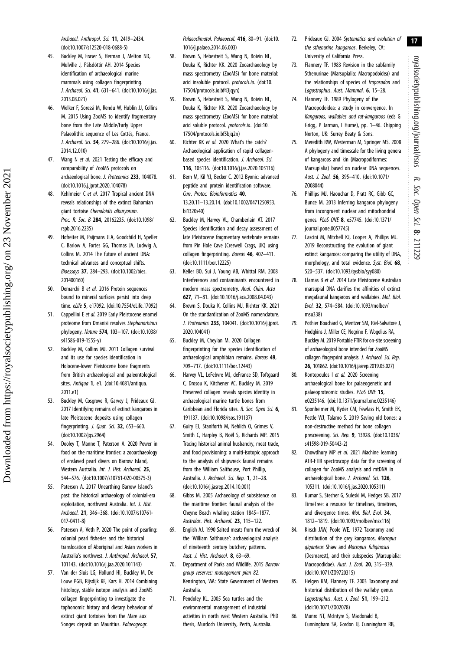<span id="page-16-0"></span>Archaeol. Anthropol. Sci. 11, 2419–2434. ([doi:10.1007/s12520-018-0688-5\)](http://dx.doi.org/10.1007/s12520-018-0688-5)

- 45. Buckley M, Fraser S, Herman J, Melton ND, Mulville J, Pálsdóttir AH. 2014 Species identification of archaeological marine mammals using collagen fingerprinting. J. Archaeol. Sci. 41, 631–641. ([doi:10.1016/j.jas.](http://dx.doi.org/10.1016/j.jas.2013.08.021) [2013.08.021](http://dx.doi.org/10.1016/j.jas.2013.08.021))
- 46. Welker F, Soressi M, Rendu W, Hublin JJ, Collins M. 2015 Using ZooMS to identify fragmentary bone from the Late Middle/Early Upper Palaeolithic sequence of Les Cottés, France. J. Archaeol. Sci. 54, 279–286. ([doi:10.1016/j.jas.](http://dx.doi.org/10.1016/j.jas.2014.12.010) [2014.12.010](http://dx.doi.org/10.1016/j.jas.2014.12.010))
- 47. Wang N et al. 2021 Testing the efficacy and comparability of ZooMS protocols on archaeological bone. J. Proteomics 233, 104078. ([doi:10.1016.j.jprot.2020.104078\)](http://dx.doi.org/10.1016.j.jprot.2020.104078)
- 48. Kehlmeier C et al. 2017 Tropical ancient DNA reveals relationships of the extinct Bahamian giant tortoise Chenoloidis alburyorum. Proc. R. Soc. B 284, 20162235. ([doi:10.1098/](http://dx.doi.org/10.1098/rspb.2016.2235) [rspb.2016.2235](http://dx.doi.org/10.1098/rspb.2016.2235))
- 49. Hofreiter M, Paijmans JLA, Goodchild H, Speller C, Barlow A, Fortes GG, Thomas JA, Ludwig A, Collins M. 2014 The future of ancient DNA: technical advances and conceptual shifts. Bioessays 37, 284–293. [\(doi:10.1002/bies.](http://dx.doi.org/10.1002/bies.201400160) [201400160](http://dx.doi.org/10.1002/bies.201400160))
- 50. Demarchi B et al. 2016 Protein sequences bound to mineral surfaces persist into deep time. eLife 5, e17092. ([doi:10.7554/eLife.17092](http://dx.doi.org/10.7554/eLife.17092))
- 51. Cappellini E et al. 2019 Early Pleistocene enamel proteome from Dmanisi resolves Stephanorhinus phylogeny. Nature 574, 103–107. [\(doi:10.1038/](http://dx.doi.org/10.1038/s41586-019-1555-y) [s41586-019-1555-y\)](http://dx.doi.org/10.1038/s41586-019-1555-y)
- 52. Buckley M, Collins MJ. 2011 Collagen survival and its use for species identification in Holocene-lower Pleistocene bone fragments from British archaeological and paleontological sites. Antiqua 1, e1. ([doi:10.4081/antiqua.](http://dx.doi.org/10.4081/antiqua.2011.e1) [2011.e1](http://dx.doi.org/10.4081/antiqua.2011.e1))
- 53. Buckley M, Cosgrove R, Garvey J, Prideaux GJ. 2017 Identifying remains of extinct kangaroos in late Pleistocene deposits using collagen fingerprinting. J. Quat. Sci. 32, 653-660. ([doi:10.1002/jqs.2964\)](http://dx.doi.org/10.1002/jqs.2964)
- 54. Dooley T, Manne T, Paterson A. 2020 Power in food on the maritime frontier: a zooarchaeology of enslaved pearl divers on Barrow Island, Western Australia. Int. J. Hist. Archaeol. 25 544–576. ([doi:10.1007/s10761-020-00575-3\)](http://dx.doi.org/10.1007/s10761-020-00575-3)
- 55. Paterson A. 2017 Unearthing Barrow Island's past: the historical archaeology of colonial-era exploitation, northwest Australia. Int. J. Hist. Archaeol. 21, 346–368. ([doi:10.1007/s10761-](http://dx.doi.org/10.1007/s10761-017-0411-8) [017-0411-8\)](http://dx.doi.org/10.1007/s10761-017-0411-8)
- 56. Paterson A, Veth P. 2020 The point of pearling: colonial pearl fisheries and the historical translocation of Aboriginal and Asian workers in Australia's northwest. J. Anthropol. Archaeol. 57, 101143. ([doi:10.1016/j.jaa.2020.101143](http://dx.doi.org/10.1016/j.jaa.2020.101143))
- 57. Van der Sluis LG, Hollund HI, Buckley M, De Louw PGB, Rijsdijk KF, Kars H. 2014 Combining histology, stable isotope analysis and ZooMS collagen fingerprinting to investigate the taphonomic history and dietary behaviour of extinct giant tortoises from the Mare aux Songes deposit on Mauritius. Palaeogeogr.

Palaeoclimatol. Palaeoecol. 416, 80-91. [\(doi:10.](http://dx.doi.org/10.1016/j.palaeo.2014.06.003) [1016/j.palaeo.2014.06.003\)](http://dx.doi.org/10.1016/j.palaeo.2014.06.003)

- 58. Brown S, Hebestreit S, Wang N, Boivin NL, Douka K, Richter KK. 2020 Zooarchaeology by mass spectrometry (ZooMS) for bone material: acid insoluble protocol. protocols.io. [\(doi:10.](https://doi.org/10.17504/protocols.io.bf43jqyn) [17504/protocols.io.bf43jqyn\)](https://doi.org/10.17504/protocols.io.bf43jqyn)
- 59. Brown S, Hebestreit S, Wang N, Boivin NL, Douka K, Richter KK. 2020 Zooarchaeology by mass spectrometry (ZooMS) for bone material: acid soluble protocol. protocols.io. ([doi:10.](https://doi.org/10.17504/protocols.io.bf5bjq2n) [17504/protocols.io.bf5bjq2n](https://doi.org/10.17504/protocols.io.bf5bjq2n))
- 60. Richter KK et al. 2020 What's the catch? Archaeological application of rapid collagenbased species identification. J. Archaeol. Sci. 116, 105116. ([doi:10.1016/j.jas.2020.105116\)](http://dx.doi.org/10.1016/j.jas.2020.105116)
- 61. Bern M, Kil YJ, Becker C. 2012 Byonic: advanced peptide and protein identification software. Curr. Protoc. Bioinformatics 40, 13.20.11–13.20.14. ([doi:10.1002/0471250953.](http://dx.doi.org/10.1002/0471250953.bi1320s40) [bi1320s40](http://dx.doi.org/10.1002/0471250953.bi1320s40))
- 62. Buckley M, Harvey VL, Chamberlain AT. 2017 Species identification and decay assessment of late Pleistocene fragmentary vertebrate remains from Pin Hole Cave (Creswell Crags, UK) using collagen fingerprinting. Boreas 46, 402–411. ([doi:10.1111/bor.12225\)](http://dx.doi.org/10.1111/bor.12225)
- 63. Keller BO, Sui J, Young AB, Whittal RM. 2008 Interferences and contaminants encountered in modern mass spectrometry. Anal. Chim. Acta 627, 71–81. ([doi:10.1016/j.aca.2008.04.043](http://dx.doi.org/10.1016/j.aca.2008.04.043))
- 64. Brown S, Douka K, Collins MJ, Richter KK. 2021 On the standardization of ZooMS nomenclature. J. Proteomics 235, 104041. ([doi:10.1016/j.jprot.](http://dx.doi.org/10.1016/j.jprot.2020.104041) [2020.104041](http://dx.doi.org/10.1016/j.jprot.2020.104041))
- 65. Buckley M, Cheylan M. 2020 Collagen fingerprinting for the species identification of archaeological amphibian remains. Boreas 49, 709–717. [\(doi:10.1111/bor.12443](http://dx.doi.org/10.1111/bor.12443))
- 66. Harvey VL, LeFebvre MJ, deFrance SD, Toftgaard C, Drosou K, Kitchener AC, Buckley M. 2019 Preserved collagen reveals species identity in archaeological marine turtle bones from Caribbean and Florida sites. R. Soc. Open Sci. 6, 191137. ([doi:10.1098/rsos.191137](http://dx.doi.org/10.1098/rsos.191137))
- 67. Guiry EJ, Staniforth M, Nehlich O, Grimes V, Smith C, Harpley B, Noël S, Richards MP. 2015 Tracing historical animal husbandry, meat trade, and food provisioning: a multi-isotopic approach to the analysis of shipwreck faunal remains from the William Salthouse, Port Phillip, Australia. J. Archaeol. Sci. Rep. 1, 21-28. ([doi:10.1016/j.jasrep.2014.10.001](http://dx.doi.org/10.1016/j.jasrep.2014.10.001))
- 68. Gibbs M. 2005 Archaeology of subsistence on the maritime frontier: faunal analysis of the Cheyne Beach whaling station 1845–1877. Australas. Hist. Archaeol. 23, 115–122.
- 69. English AJ. 1990 Salted meats from the wreck of the 'William Salthouse': archaeological analysis of nineteenth century butchery patterns. Aust. J. Hist. Archaeol. 8, 63–69.
- 70. Department of Parks and Wildlife. 2015 Barrow group reserves: management plan 82. Kensington, WA: State Government of Western Australia.
- 71. Pendoley KL. 2005 Sea turtles and the environmental management of industrial activities in north west Western Australia. PhD thesis, Murdoch University, Perth, Australia.
- 72. Prideaux GJ. 2004 Systematics and evolution of the sthenurine kangaroos. Berkeley, CA: University of California Press.
- 73. Flannery TF. 1983 Revision in the subfamily Sthenurinae (Marsupialia: Macropodoidea) and the relationships of species of Troposodon and Lagostrophus. Aust. Mammal. 6, 15–28.
- 74. Flannery TF. 1989 Phylogeny of the Macropodoidea: a study in convergence. In Kangaroos, wallabies and rat-kangaroos (eds G Grigg, P Jarman, I Hume), pp. 1–46. Chipping Norton, UK: Surrey Beaty & Sons.
- 75. Meredith RW, Westerman M, Springer MS. 2008 A phylogeny and timescale for the living genera of kangaroos and kin (Macropodiformes: Marsupialia) based on nuclear DNA sequences. Aust. J. Zool. 56, 395–410. ([doi:10.1071/](http://dx.doi.org/10.1071/ZO08044) [ZO08044\)](http://dx.doi.org/10.1071/ZO08044)
- 76. Phillips MJ, Haouchar D, Pratt RC, Gibb GC, Bunce M. 2013 Inferring kangaroo phylogeny from incongruent nuclear and mitochondrial genes. PLoS ONE 8, e57745. [\(doi:10.1371/](http://dx.doi.org/10.1371/journal.pone.0057745) [journal.pone.0057745\)](http://dx.doi.org/10.1371/journal.pone.0057745)
- 77. Cascini M, Mitchell KJ, Cooper A, Phillips MJ. 2019 Reconstructing the evolution of giant extinct kangaroos: comparing the utility of DNA, morphology, and total evidence. Syst. Biol. 68, 520–537. ([doi:10.1093/sysbio/syy080\)](http://dx.doi.org/10.1093/sysbio/syy080)
- 78. Llamas B et al. 2014 Late Pleistocene Australian marsupial DNA clarifies the affinities of extinct megafaunal kangaroos and wallabies. Mol. Biol. Evol. 32, 574–584. [\(doi:10.1093/molbev/](http://dx.doi.org/10.1093/molbev/msu338) [msu338\)](http://dx.doi.org/10.1093/molbev/msu338)
- 79. Pothier Bouchard G, Mentzer SM, Riel-Salvatore J, Hodgkins J, Miller CE, Negrino F, Wogelius RA, Buckley M. 2019 Portable FTIR for on-site screening of archaeological bone intended for ZooMS collagen fingerprint analysis. J. Archaeol. Sci. Rep. 26, 101862. [\(doi:10.1016/j.jasrep.2019.05.027\)](http://dx.doi.org/10.1016/j.jasrep.2019.05.027)
- 80. Kontopoulos I et al. 2020 Screening archaeological bone for palaeogenetic and palaeoproteomic studies. PLoS ONE 15, e0235146. ([doi:10.1371/journal.one.0235146\)](http://dx.doi.org/10.1371/journal.one.0235146)
- 81. Sponheimer M, Ryder CM, Fewlass H, Smith EK, Pestle WJ, Talamo S. 2019 Saving old bones: a non-destructive method for bone collagen prescreening. Sci. Rep. 9, 13928. [\(doi:10.1038/](http://dx.doi.org/10.1038/s41598-019-50443-2) [s41598-019-50443-2](http://dx.doi.org/10.1038/s41598-019-50443-2))
- 82. Chowdhury MP et al. 2021 Machine learning ATR-FTIR spectroscopy data for the screening of collagen for ZooMS analysis and mtDNA in archaeological bone. J. Archaeol. Sci. 126, 105311. [\(doi:10.1016/j.jas.2020.105311](http://dx.doi.org/10.1016/j.jas.2020.105311))
- 83. Kumar S, Stecher G, Suleski M, Hedges SB. 2017 TimeTree: a resource for timelines, timetrees, and divergence times. Mol. Biol. Evol. 34, 1812–1819. ([doi:10.1093/molbev/msx116](http://dx.doi.org/10.1093/molbev/msx116))
- 84. Kirsch JAW, Poole WE. 1972 Taxonomy and distribution of the grey kangaroos, Macropus giganteus Shaw and Macropus fuliginosus (Desmarest), and their subspecies (Marsupialia: Macropodidae). Aust. J. Zool. 20, 315–339. [\(doi:10.1071/ZO9720315\)](http://dx.doi.org/10.1071/ZO9720315)
- 85. Helgen KM, Flannery TF. 2003 Taxonomy and historical distribution of the wallaby genus Lagostrophus. Aust. J. Zool. 51, 199–212. [\(doi:10.1071/ZO02078](http://dx.doi.org/10.1071/ZO02078))
- 86. Munro NT, McIntyre S, Macdonald B, Cunningham SA, Gordon IJ, Cunningham RB,

17